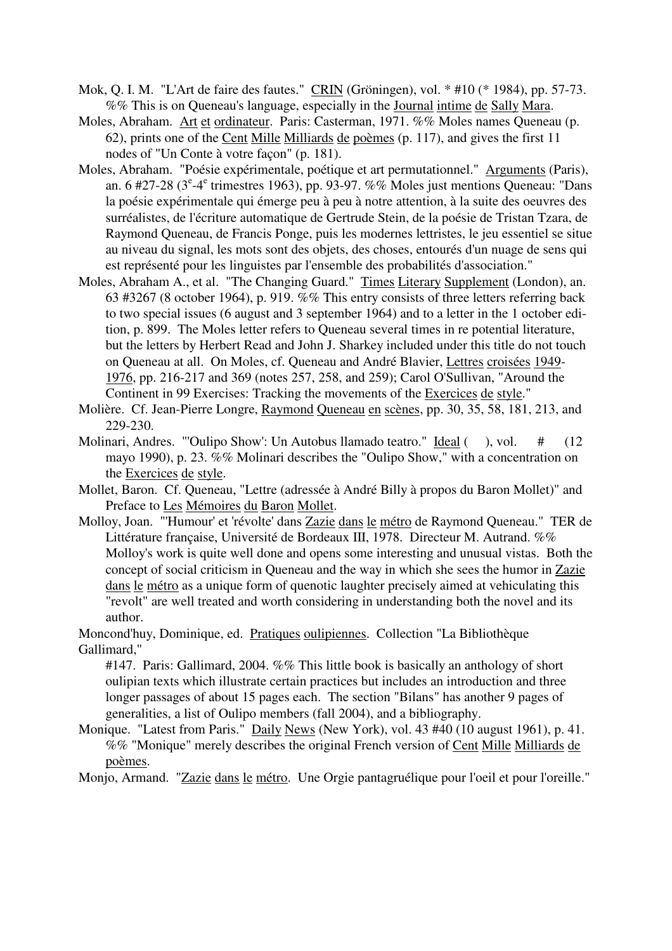- Mok, Q. I. M. "L'Art de faire des fautes." CRIN (Gröningen), vol. \* #10 (\* 1984), pp. 57-73. %% This is on Queneau's language, especially in the Journal intime de Sally Mara.
- Moles, Abraham. Art et ordinateur. Paris: Casterman, 1971. %% Moles names Queneau (p. 62), prints one of the Cent Mille Milliards de poèmes (p. 117), and gives the first 11 nodes of "Un Conte à votre façon" (p. 181).
- Moles, Abraham. "Poésie expérimentale, poétique et art permutationnel." Arguments (Paris), an. 6 #27-28 ( $3^e$ -4<sup>e</sup> trimestres 1963), pp. 93-97. %% Moles just mentions Queneau: "Dans la poésie expérimentale qui émerge peu à peu à notre attention, à la suite des oeuvres des surréalistes, de l'écriture automatique de Gertrude Stein, de la poésie de Tristan Tzara, de Raymond Queneau, de Francis Ponge, puis les modernes lettristes, le jeu essentiel se situe au niveau du signal, les mots sont des objets, des choses, entourés d'un nuage de sens qui est représenté pour les linguistes par l'ensemble des probabilités d'association."
- Moles, Abraham A., et al. "The Changing Guard." Times Literary Supplement (London), an. 63 #3267 (8 october 1964), p. 919. %% This entry consists of three letters referring back to two special issues (6 august and 3 september 1964) and to a letter in the 1 october edition, p. 899. The Moles letter refers to Queneau several times in re potential literature, but the letters by Herbert Read and John J. Sharkey included under this title do not touch on Queneau at all. On Moles, cf. Queneau and André Blavier, Lettres croisées 1949- 1976, pp. 216-217 and 369 (notes 257, 258, and 259); Carol O'Sullivan, "Around the Continent in 99 Exercises: Tracking the movements of the Exercices de style."
- Molière. Cf. Jean-Pierre Longre, Raymond Queneau en scènes, pp. 30, 35, 58, 181, 213, and 229-230.
- Molinari, Andres. "'Oulipo Show': Un Autobus llamado teatro." Ideal (), vol. # (12 mayo 1990), p. 23. %% Molinari describes the "Oulipo Show," with a concentration on the Exercices de style.
- Mollet, Baron. Cf. Queneau, "Lettre (adressée à André Billy à propos du Baron Mollet)" and Preface to Les Mémoires du Baron Mollet.
- Molloy, Joan. "'Humour' et 'révolte' dans Zazie dans le métro de Raymond Queneau." TER de Littérature française, Université de Bordeaux III, 1978. Directeur M. Autrand. %% Molloy's work is quite well done and opens some interesting and unusual vistas. Both the concept of social criticism in Queneau and the way in which she sees the humor in Zazie dans le métro as a unique form of quenotic laughter precisely aimed at vehiculating this "revolt" are well treated and worth considering in understanding both the novel and its author.

Moncond'huy, Dominique, ed. Pratiques oulipiennes. Collection "La Bibliothèque Gallimard,"

#147. Paris: Gallimard, 2004. %% This little book is basically an anthology of short oulipian texts which illustrate certain practices but includes an introduction and three longer passages of about 15 pages each. The section "Bilans" has another 9 pages of generalities, a list of Oulipo members (fall 2004), and a bibliography.

Monique. "Latest from Paris." Daily News (New York), vol. 43 #40 (10 august 1961), p. 41. %% "Monique" merely describes the original French version of Cent Mille Milliards de poèmes.

Monjo, Armand. "Zazie dans le métro. Une Orgie pantagruélique pour l'oeil et pour l'oreille."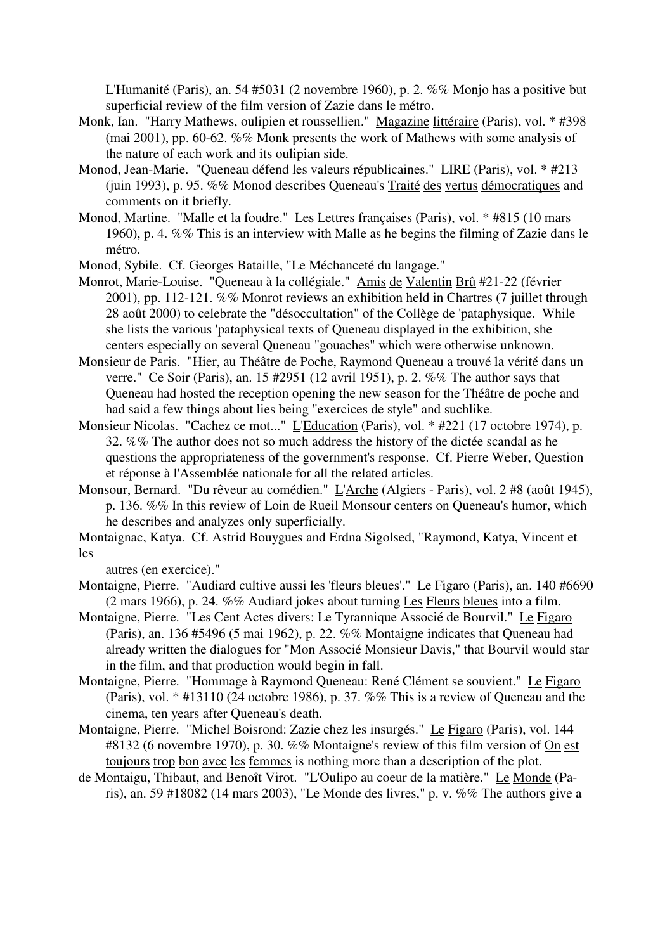L'Humanité (Paris), an. 54 #5031 (2 novembre 1960), p. 2. %% Monjo has a positive but superficial review of the film version of Zazie dans le métro.

- Monk, Ian. "Harry Mathews, oulipien et roussellien." Magazine littéraire (Paris), vol. \* #398 (mai 2001), pp. 60-62. %% Monk presents the work of Mathews with some analysis of the nature of each work and its oulipian side.
- Monod, Jean-Marie. "Queneau défend les valeurs républicaines." LIRE (Paris), vol. \* #213 (juin 1993), p. 95. %% Monod describes Queneau's Traité des vertus démocratiques and comments on it briefly.
- Monod, Martine. "Malle et la foudre." Les Lettres françaises (Paris), vol. \* #815 (10 mars 1960), p. 4. %% This is an interview with Malle as he begins the filming of Zazie dans le métro.
- Monod, Sybile. Cf. Georges Bataille, "Le Méchanceté du langage."
- Monrot, Marie-Louise. "Queneau à la collégiale." Amis de Valentin Brû #21-22 (février 2001), pp. 112-121. %% Monrot reviews an exhibition held in Chartres (7 juillet through 28 août 2000) to celebrate the "désoccultation" of the Collège de 'pataphysique. While she lists the various 'pataphysical texts of Queneau displayed in the exhibition, she centers especially on several Queneau "gouaches" which were otherwise unknown.
- Monsieur de Paris. "Hier, au Théâtre de Poche, Raymond Queneau a trouvé la vérité dans un verre." Ce Soir (Paris), an. 15 #2951 (12 avril 1951), p. 2. %% The author says that Queneau had hosted the reception opening the new season for the Théâtre de poche and had said a few things about lies being "exercices de style" and suchlike.
- Monsieur Nicolas. "Cachez ce mot..." L'Education (Paris), vol. \* #221 (17 octobre 1974), p. 32. %% The author does not so much address the history of the dictée scandal as he questions the appropriateness of the government's response. Cf. Pierre Weber, Question et réponse à l'Assemblée nationale for all the related articles.
- Monsour, Bernard. "Du rêveur au comédien." L'Arche (Algiers Paris), vol. 2 #8 (août 1945), p. 136. %% In this review of Loin de Rueil Monsour centers on Queneau's humor, which he describes and analyzes only superficially.

Montaignac, Katya. Cf. Astrid Bouygues and Erdna Sigolsed, "Raymond, Katya, Vincent et les

autres (en exercice)."

- Montaigne, Pierre. "Audiard cultive aussi les 'fleurs bleues'." Le Figaro (Paris), an. 140 #6690 (2 mars 1966), p. 24. %% Audiard jokes about turning Les Fleurs bleues into a film.
- Montaigne, Pierre. "Les Cent Actes divers: Le Tyrannique Associé de Bourvil." Le Figaro (Paris), an. 136 #5496 (5 mai 1962), p. 22. %% Montaigne indicates that Queneau had already written the dialogues for "Mon Associé Monsieur Davis," that Bourvil would star in the film, and that production would begin in fall.
- Montaigne, Pierre. "Hommage à Raymond Queneau: René Clément se souvient." Le Figaro (Paris), vol. \* #13110 (24 octobre 1986), p. 37. %% This is a review of Queneau and the cinema, ten years after Queneau's death.
- Montaigne, Pierre. "Michel Boisrond: Zazie chez les insurgés." Le Figaro (Paris), vol. 144 #8132 (6 novembre 1970), p. 30. %% Montaigne's review of this film version of On est toujours trop bon avec les femmes is nothing more than a description of the plot.
- de Montaigu, Thibaut, and Benoît Virot. "L'Oulipo au coeur de la matière." Le Monde (Paris), an. 59 #18082 (14 mars 2003), "Le Monde des livres," p. v. %% The authors give a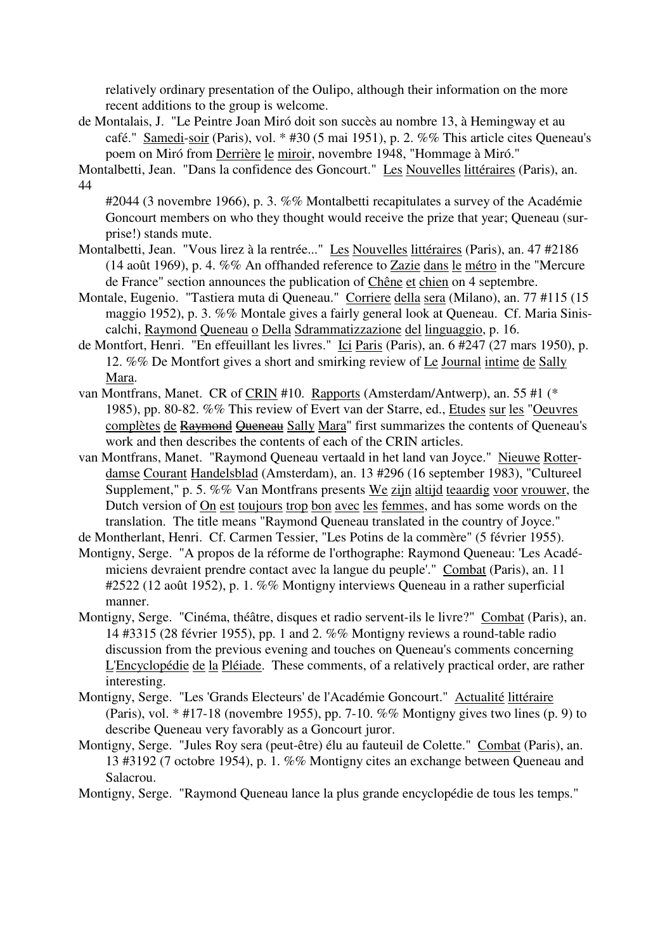relatively ordinary presentation of the Oulipo, although their information on the more recent additions to the group is welcome.

de Montalais, J. "Le Peintre Joan Miró doit son succès au nombre 13, à Hemingway et au café." Samedi-soir (Paris), vol. \* #30 (5 mai 1951), p. 2. %% This article cites Queneau's poem on Miró from Derrière le miroir, novembre 1948, "Hommage à Miró."

Montalbetti, Jean. "Dans la confidence des Goncourt." Les Nouvelles littéraires (Paris), an. 44

#2044 (3 novembre 1966), p. 3. %% Montalbetti recapitulates a survey of the Académie Goncourt members on who they thought would receive the prize that year; Queneau (surprise!) stands mute.

- Montalbetti, Jean. "Vous lirez à la rentrée..." Les Nouvelles littéraires (Paris), an. 47 #2186 (14 août 1969), p. 4. %% An offhanded reference to Zazie dans le métro in the "Mercure de France" section announces the publication of Chêne et chien on 4 septembre.
- Montale, Eugenio. "Tastiera muta di Queneau." Corriere della sera (Milano), an. 77 #115 (15 maggio 1952), p. 3. %% Montale gives a fairly general look at Queneau. Cf. Maria Siniscalchi, Raymond Queneau o Della Sdrammatizzazione del linguaggio, p. 16.
- de Montfort, Henri. "En effeuillant les livres." Ici Paris (Paris), an. 6 #247 (27 mars 1950), p. 12. %% De Montfort gives a short and smirking review of Le Journal intime de Sally Mara.
- van Montfrans, Manet. CR of CRIN #10. Rapports (Amsterdam/Antwerp), an. 55 #1 (\* 1985), pp. 80-82. %% This review of Evert van der Starre, ed., Etudes sur les "Oeuvres complètes de Raymond Queneau Sally Mara" first summarizes the contents of Queneau's work and then describes the contents of each of the CRIN articles.
- van Montfrans, Manet. "Raymond Queneau vertaald in het land van Joyce." Nieuwe Rotterdamse Courant Handelsblad (Amsterdam), an. 13 #296 (16 september 1983), "Cultureel Supplement," p. 5. %% Van Montfrans presents We zijn altijd teaardig voor vrouwer, the Dutch version of On est toujours trop bon avec les femmes, and has some words on the translation. The title means "Raymond Queneau translated in the country of Joyce."

de Montherlant, Henri. Cf. Carmen Tessier, "Les Potins de la commère" (5 février 1955).

- Montigny, Serge. "A propos de la réforme de l'orthographe: Raymond Queneau: 'Les Académiciens devraient prendre contact avec la langue du peuple'." Combat (Paris), an. 11 #2522 (12 août 1952), p. 1. %% Montigny interviews Queneau in a rather superficial manner.
- Montigny, Serge. "Cinéma, théâtre, disques et radio servent-ils le livre?" Combat (Paris), an. 14 #3315 (28 février 1955), pp. 1 and 2. %% Montigny reviews a round-table radio discussion from the previous evening and touches on Queneau's comments concerning L'Encyclopédie de la Pléiade. These comments, of a relatively practical order, are rather interesting.
- Montigny, Serge. "Les 'Grands Electeurs' de l'Académie Goncourt." Actualité littéraire (Paris), vol. \* #17-18 (novembre 1955), pp. 7-10. %% Montigny gives two lines (p. 9) to describe Queneau very favorably as a Goncourt juror.
- Montigny, Serge. "Jules Roy sera (peut-être) élu au fauteuil de Colette." Combat (Paris), an. 13 #3192 (7 octobre 1954), p. 1. %% Montigny cites an exchange between Queneau and Salacrou.

Montigny, Serge. "Raymond Queneau lance la plus grande encyclopédie de tous les temps."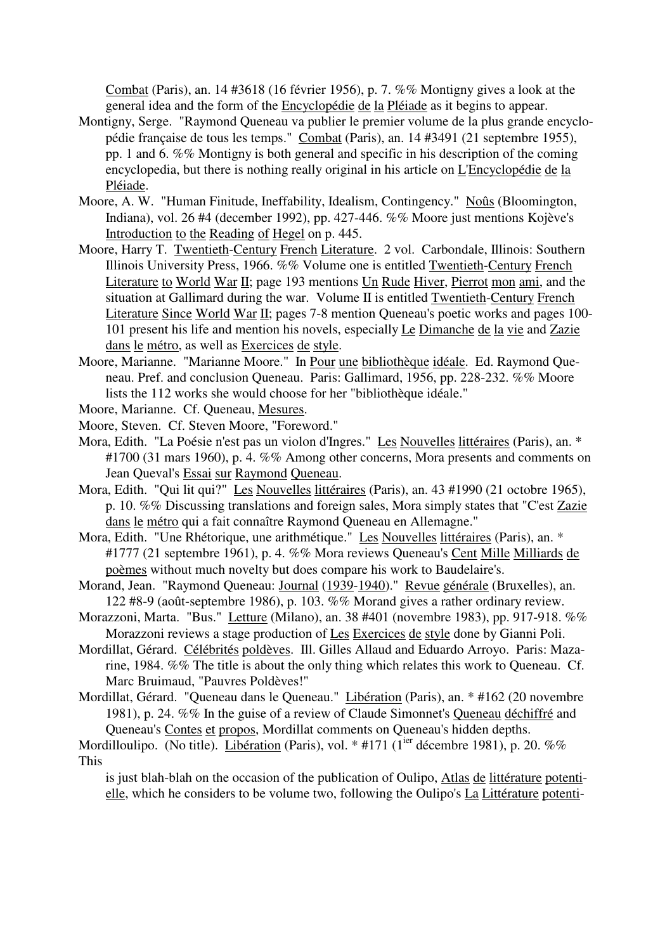Combat (Paris), an. 14 #3618 (16 février 1956), p. 7. %% Montigny gives a look at the general idea and the form of the Encyclopédie de la Pléiade as it begins to appear.

- Montigny, Serge. "Raymond Queneau va publier le premier volume de la plus grande encyclopédie française de tous les temps." Combat (Paris), an. 14 #3491 (21 septembre 1955), pp. 1 and 6. %% Montigny is both general and specific in his description of the coming encyclopedia, but there is nothing really original in his article on L'Encyclopédie de la Pléiade.
- Moore, A. W. "Human Finitude, Ineffability, Idealism, Contingency." Noûs (Bloomington, Indiana), vol. 26 #4 (december 1992), pp. 427-446. %% Moore just mentions Kojève's Introduction to the Reading of Hegel on p. 445.
- Moore, Harry T. Twentieth-Century French Literature. 2 vol. Carbondale, Illinois: Southern Illinois University Press, 1966. %% Volume one is entitled Twentieth-Century French Literature to World War II; page 193 mentions Un Rude Hiver, Pierrot mon ami, and the situation at Gallimard during the war. Volume II is entitled Twentieth-Century French Literature Since World War II; pages 7-8 mention Queneau's poetic works and pages 100- 101 present his life and mention his novels, especially Le Dimanche de la vie and Zazie dans le métro, as well as Exercices de style.
- Moore, Marianne. "Marianne Moore." In Pour une bibliothèque idéale. Ed. Raymond Queneau. Pref. and conclusion Queneau. Paris: Gallimard, 1956, pp. 228-232. %% Moore lists the 112 works she would choose for her "bibliothèque idéale."
- Moore, Marianne. Cf. Queneau, Mesures.
- Moore, Steven. Cf. Steven Moore, "Foreword."
- Mora, Edith. "La Poésie n'est pas un violon d'Ingres." Les Nouvelles littéraires (Paris), an. \* #1700 (31 mars 1960), p. 4. %% Among other concerns, Mora presents and comments on Jean Queval's Essai sur Raymond Queneau.
- Mora, Edith. "Qui lit qui?" Les Nouvelles littéraires (Paris), an. 43 #1990 (21 octobre 1965), p. 10. %% Discussing translations and foreign sales, Mora simply states that "C'est Zazie dans le métro qui a fait connaître Raymond Queneau en Allemagne."
- Mora, Edith. "Une Rhétorique, une arithmétique." Les Nouvelles littéraires (Paris), an. \* #1777 (21 septembre 1961), p. 4. %% Mora reviews Queneau's Cent Mille Milliards de poèmes without much novelty but does compare his work to Baudelaire's.
- Morand, Jean. "Raymond Queneau: Journal (1939-1940)." Revue générale (Bruxelles), an. 122 #8-9 (août-septembre 1986), p. 103. %% Morand gives a rather ordinary review.
- Morazzoni, Marta. "Bus." Letture (Milano), an. 38 #401 (novembre 1983), pp. 917-918. %% Morazzoni reviews a stage production of Les Exercices de style done by Gianni Poli.
- Mordillat, Gérard. Célébrités poldèves. Ill. Gilles Allaud and Eduardo Arroyo. Paris: Mazarine, 1984. %% The title is about the only thing which relates this work to Queneau. Cf. Marc Bruimaud, "Pauvres Poldèves!"
- Mordillat, Gérard. "Queneau dans le Queneau." Libération (Paris), an. \* #162 (20 novembre 1981), p. 24. %% In the guise of a review of Claude Simonnet's Queneau déchiffré and Queneau's Contes et propos, Mordillat comments on Queneau's hidden depths.

## Mordilloulipo. (No title). Libération (Paris), vol. \* #171 (1<sup>ier</sup> décembre 1981), p. 20. %% This

is just blah-blah on the occasion of the publication of Oulipo, Atlas de littérature potentielle, which he considers to be volume two, following the Oulipo's La Littérature potenti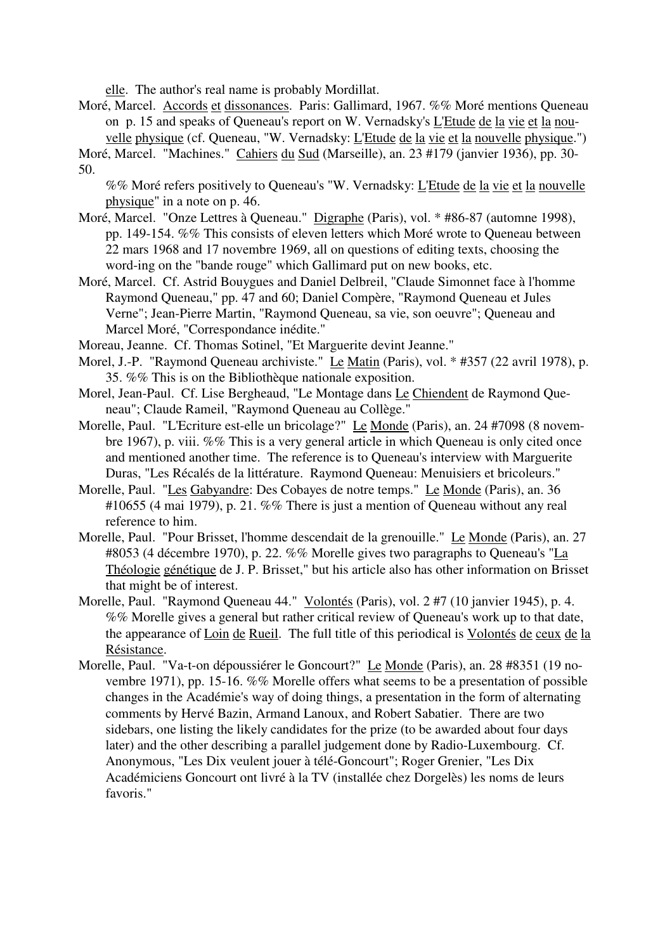elle. The author's real name is probably Mordillat.

Moré, Marcel. Accords et dissonances. Paris: Gallimard, 1967. %% Moré mentions Queneau on p. 15 and speaks of Queneau's report on W. Vernadsky's L'Etude de la vie et la nouvelle physique (cf. Queneau, "W. Vernadsky: L'Etude de la vie et la nouvelle physique.")

Moré, Marcel. "Machines." Cahiers du Sud (Marseille), an. 23 #179 (janvier 1936), pp. 30- 50.

%% Moré refers positively to Queneau's "W. Vernadsky: L'Etude de la vie et la nouvelle physique" in a note on p. 46.

- Moré, Marcel. "Onze Lettres à Queneau." Digraphe (Paris), vol. \* #86-87 (automne 1998), pp. 149-154. %% This consists of eleven letters which Moré wrote to Queneau between 22 mars 1968 and 17 novembre 1969, all on questions of editing texts, choosing the word-ing on the "bande rouge" which Gallimard put on new books, etc.
- Moré, Marcel. Cf. Astrid Bouygues and Daniel Delbreil, "Claude Simonnet face à l'homme Raymond Queneau," pp. 47 and 60; Daniel Compère, "Raymond Queneau et Jules Verne"; Jean-Pierre Martin, "Raymond Queneau, sa vie, son oeuvre"; Queneau and Marcel Moré, "Correspondance inédite."

Moreau, Jeanne. Cf. Thomas Sotinel, "Et Marguerite devint Jeanne."

- Morel, J.-P. "Raymond Queneau archiviste." Le Matin (Paris), vol. \* #357 (22 avril 1978), p. 35. %% This is on the Bibliothèque nationale exposition.
- Morel, Jean-Paul. Cf. Lise Bergheaud, "Le Montage dans Le Chiendent de Raymond Queneau"; Claude Rameil, "Raymond Queneau au Collège."
- Morelle, Paul. "L'Ecriture est-elle un bricolage?" Le Monde (Paris), an. 24 #7098 (8 novembre 1967), p. viii. %% This is a very general article in which Queneau is only cited once and mentioned another time. The reference is to Queneau's interview with Marguerite Duras, "Les Récalés de la littérature. Raymond Queneau: Menuisiers et bricoleurs."
- Morelle, Paul. "Les Gabyandre: Des Cobayes de notre temps." Le Monde (Paris), an. 36 #10655 (4 mai 1979), p. 21. %% There is just a mention of Queneau without any real reference to him.
- Morelle, Paul. "Pour Brisset, l'homme descendait de la grenouille." Le Monde (Paris), an. 27 #8053 (4 décembre 1970), p. 22. %% Morelle gives two paragraphs to Queneau's "La Théologie génétique de J. P. Brisset," but his article also has other information on Brisset that might be of interest.
- Morelle, Paul. "Raymond Queneau 44." Volontés (Paris), vol. 2 #7 (10 janvier 1945), p. 4. %% Morelle gives a general but rather critical review of Queneau's work up to that date, the appearance of Loin de Rueil. The full title of this periodical is Volontés de ceux de la Résistance.
- Morelle, Paul. "Va-t-on dépoussiérer le Goncourt?" Le Monde (Paris), an. 28 #8351 (19 novembre 1971), pp. 15-16. %% Morelle offers what seems to be a presentation of possible changes in the Académie's way of doing things, a presentation in the form of alternating comments by Hervé Bazin, Armand Lanoux, and Robert Sabatier. There are two sidebars, one listing the likely candidates for the prize (to be awarded about four days later) and the other describing a parallel judgement done by Radio-Luxembourg. Cf. Anonymous, "Les Dix veulent jouer à télé-Goncourt"; Roger Grenier, "Les Dix Académiciens Goncourt ont livré à la TV (installée chez Dorgelès) les noms de leurs favoris."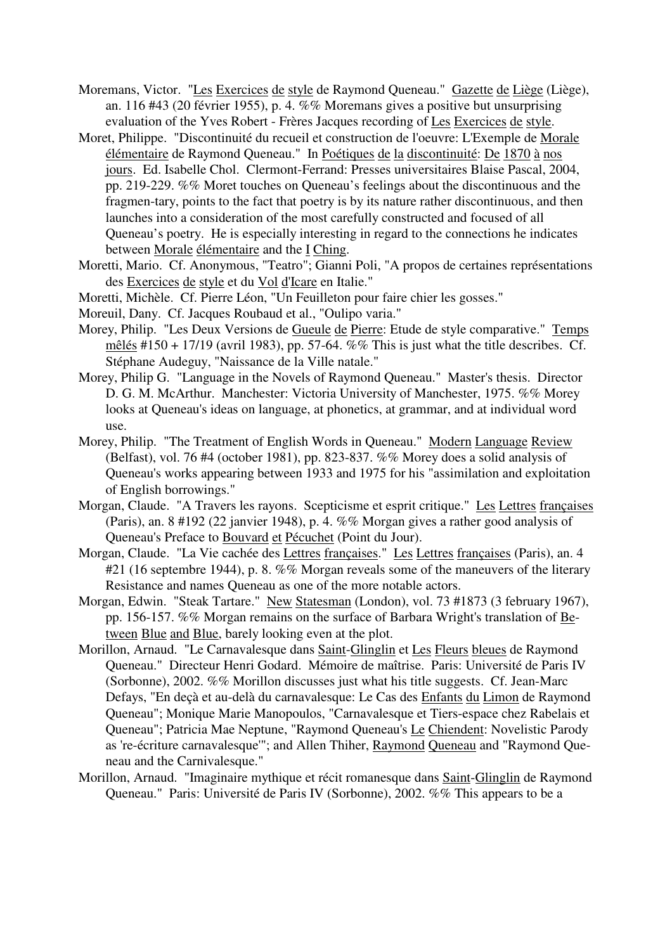- Moremans, Victor. "Les Exercices de style de Raymond Queneau." Gazette de Liège (Liège), an. 116 #43 (20 février 1955), p. 4. %% Moremans gives a positive but unsurprising evaluation of the Yves Robert - Frères Jacques recording of Les Exercices de style.
- Moret, Philippe. "Discontinuité du recueil et construction de l'oeuvre: L'Exemple de Morale élémentaire de Raymond Queneau." In Poétiques de la discontinuité: De 1870 à nos jours. Ed. Isabelle Chol. Clermont-Ferrand: Presses universitaires Blaise Pascal, 2004, pp. 219-229. %% Moret touches on Queneau's feelings about the discontinuous and the fragmen-tary, points to the fact that poetry is by its nature rather discontinuous, and then launches into a consideration of the most carefully constructed and focused of all Queneau's poetry. He is especially interesting in regard to the connections he indicates between Morale élémentaire and the I Ching.
- Moretti, Mario. Cf. Anonymous, "Teatro"; Gianni Poli, "A propos de certaines représentations des Exercices de style et du Vol d'Icare en Italie."
- Moretti, Michèle. Cf. Pierre Léon, "Un Feuilleton pour faire chier les gosses."
- Moreuil, Dany. Cf. Jacques Roubaud et al., "Oulipo varia."
- Morey, Philip. "Les Deux Versions de Gueule de Pierre: Etude de style comparative." Temps mêlés #150 + 17/19 (avril 1983), pp. 57-64. %% This is just what the title describes. Cf. Stéphane Audeguy, "Naissance de la Ville natale."
- Morey, Philip G. "Language in the Novels of Raymond Queneau." Master's thesis. Director D. G. M. McArthur. Manchester: Victoria University of Manchester, 1975. %% Morey looks at Queneau's ideas on language, at phonetics, at grammar, and at individual word use.
- Morey, Philip. "The Treatment of English Words in Queneau." Modern Language Review (Belfast), vol. 76 #4 (october 1981), pp. 823-837. %% Morey does a solid analysis of Queneau's works appearing between 1933 and 1975 for his "assimilation and exploitation of English borrowings."
- Morgan, Claude. "A Travers les rayons. Scepticisme et esprit critique." Les Lettres françaises (Paris), an. 8 #192 (22 janvier 1948), p. 4. %% Morgan gives a rather good analysis of Queneau's Preface to Bouvard et Pécuchet (Point du Jour).
- Morgan, Claude. "La Vie cachée des Lettres françaises." Les Lettres françaises (Paris), an. 4 #21 (16 septembre 1944), p. 8. %% Morgan reveals some of the maneuvers of the literary Resistance and names Queneau as one of the more notable actors.
- Morgan, Edwin. "Steak Tartare." New Statesman (London), vol. 73 #1873 (3 february 1967), pp. 156-157. %% Morgan remains on the surface of Barbara Wright's translation of Between Blue and Blue, barely looking even at the plot.
- Morillon, Arnaud. "Le Carnavalesque dans Saint-Glinglin et Les Fleurs bleues de Raymond Queneau." Directeur Henri Godard. Mémoire de maîtrise. Paris: Université de Paris IV (Sorbonne), 2002. %% Morillon discusses just what his title suggests. Cf. Jean-Marc Defays, "En deçà et au-delà du carnavalesque: Le Cas des Enfants du Limon de Raymond Queneau"; Monique Marie Manopoulos, "Carnavalesque et Tiers-espace chez Rabelais et Queneau"; Patricia Mae Neptune, "Raymond Queneau's Le Chiendent: Novelistic Parody as 're-écriture carnavalesque'"; and Allen Thiher, Raymond Queneau and "Raymond Queneau and the Carnivalesque."
- Morillon, Arnaud. "Imaginaire mythique et récit romanesque dans Saint-Glinglin de Raymond Queneau." Paris: Université de Paris IV (Sorbonne), 2002. %% This appears to be a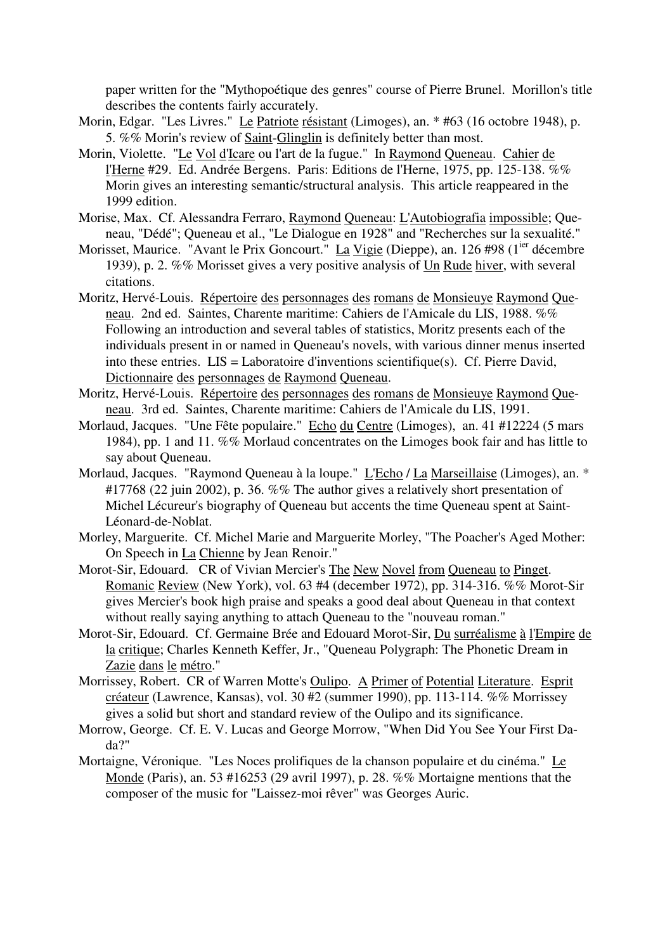paper written for the "Mythopoétique des genres" course of Pierre Brunel. Morillon's title describes the contents fairly accurately.

- Morin, Edgar. "Les Livres." Le Patriote résistant (Limoges), an. \* #63 (16 octobre 1948), p. 5. %% Morin's review of Saint-Glinglin is definitely better than most.
- Morin, Violette. "Le Vol d'Icare ou l'art de la fugue." In Raymond Queneau. Cahier de l'Herne #29. Ed. Andrée Bergens. Paris: Editions de l'Herne, 1975, pp. 125-138. %% Morin gives an interesting semantic/structural analysis. This article reappeared in the 1999 edition.
- Morise, Max. Cf. Alessandra Ferraro, Raymond Queneau: L'Autobiografia impossible; Queneau, "Dédé"; Queneau et al., "Le Dialogue en 1928" and "Recherches sur la sexualité."
- Morisset, Maurice. "Avant le Prix Goncourt." La Vigie (Dieppe), an. 126 #98 (1<sup>ier</sup> décembre 1939), p. 2. %% Morisset gives a very positive analysis of Un Rude hiver, with several citations.
- Moritz, Hervé-Louis. Répertoire des personnages des romans de Monsieuye Raymond Queneau. 2nd ed. Saintes, Charente maritime: Cahiers de l'Amicale du LIS, 1988. %% Following an introduction and several tables of statistics, Moritz presents each of the individuals present in or named in Queneau's novels, with various dinner menus inserted into these entries. LIS = Laboratoire d'inventions scientifique(s). Cf. Pierre David, Dictionnaire des personnages de Raymond Queneau.
- Moritz, Hervé-Louis. Répertoire des personnages des romans de Monsieuye Raymond Queneau. 3rd ed. Saintes, Charente maritime: Cahiers de l'Amicale du LIS, 1991.
- Morlaud, Jacques. "Une Fête populaire." Echo du Centre (Limoges), an. 41 #12224 (5 mars 1984), pp. 1 and 11. %% Morlaud concentrates on the Limoges book fair and has little to say about Queneau.
- Morlaud, Jacques. "Raymond Queneau à la loupe." L'Echo / La Marseillaise (Limoges), an. \* #17768 (22 juin 2002), p. 36. %% The author gives a relatively short presentation of Michel Lécureur's biography of Queneau but accents the time Queneau spent at Saint-Léonard-de-Noblat.
- Morley, Marguerite. Cf. Michel Marie and Marguerite Morley, "The Poacher's Aged Mother: On Speech in La Chienne by Jean Renoir."
- Morot-Sir, Edouard. CR of Vivian Mercier's The New Novel from Queneau to Pinget. Romanic Review (New York), vol. 63 #4 (december 1972), pp. 314-316. %% Morot-Sir gives Mercier's book high praise and speaks a good deal about Queneau in that context without really saying anything to attach Queneau to the "nouveau roman."
- Morot-Sir, Edouard. Cf. Germaine Brée and Edouard Morot-Sir, Du surréalisme à l'Empire de la critique; Charles Kenneth Keffer, Jr., "Queneau Polygraph: The Phonetic Dream in Zazie dans le métro."
- Morrissey, Robert. CR of Warren Motte's Oulipo. A Primer of Potential Literature. Esprit créateur (Lawrence, Kansas), vol. 30 #2 (summer 1990), pp. 113-114. %% Morrissey gives a solid but short and standard review of the Oulipo and its significance.
- Morrow, George. Cf. E. V. Lucas and George Morrow, "When Did You See Your First Dada?"
- Mortaigne, Véronique. "Les Noces prolifiques de la chanson populaire et du cinéma." Le Monde (Paris), an. 53 #16253 (29 avril 1997), p. 28. %% Mortaigne mentions that the composer of the music for "Laissez-moi rêver" was Georges Auric.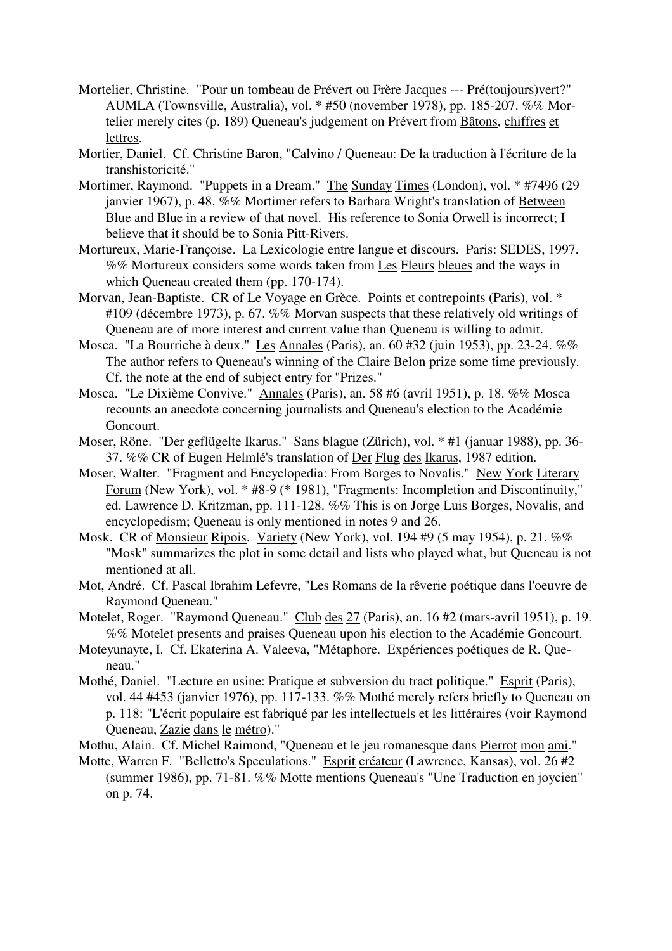- Mortelier, Christine. "Pour un tombeau de Prévert ou Frère Jacques --- Pré(toujours)vert?" AUMLA (Townsville, Australia), vol. \* #50 (november 1978), pp. 185-207. %% Mortelier merely cites (p. 189) Queneau's judgement on Prévert from Bâtons, chiffres et lettres.
- Mortier, Daniel. Cf. Christine Baron, "Calvino / Queneau: De la traduction à l'écriture de la transhistoricité."
- Mortimer, Raymond. "Puppets in a Dream." The Sunday Times (London), vol. \* #7496 (29 janvier 1967), p. 48. %% Mortimer refers to Barbara Wright's translation of Between Blue and Blue in a review of that novel. His reference to Sonia Orwell is incorrect: I believe that it should be to Sonia Pitt-Rivers.
- Mortureux, Marie-Françoise. La Lexicologie entre langue et discours. Paris: SEDES, 1997. %% Mortureux considers some words taken from Les Fleurs bleues and the ways in which Queneau created them (pp. 170-174).
- Morvan, Jean-Baptiste. CR of Le Voyage en Grèce. Points et contrepoints (Paris), vol. \* #109 (décembre 1973), p. 67. %% Morvan suspects that these relatively old writings of Queneau are of more interest and current value than Queneau is willing to admit.
- Mosca. "La Bourriche à deux." Les Annales (Paris), an. 60 #32 (juin 1953), pp. 23-24. %% The author refers to Queneau's winning of the Claire Belon prize some time previously. Cf. the note at the end of subject entry for "Prizes."
- Mosca. "Le Dixième Convive." Annales (Paris), an. 58 #6 (avril 1951), p. 18. %% Mosca recounts an anecdote concerning journalists and Queneau's election to the Académie Goncourt.
- Moser, Röne. "Der geflügelte Ikarus." Sans blague (Zürich), vol. \* #1 (januar 1988), pp. 36- 37. %% CR of Eugen Helmlé's translation of Der Flug des Ikarus, 1987 edition.
- Moser, Walter. "Fragment and Encyclopedia: From Borges to Novalis." New York Literary Forum (New York), vol. \* #8-9 (\* 1981), "Fragments: Incompletion and Discontinuity," ed. Lawrence D. Kritzman, pp. 111-128. %% This is on Jorge Luis Borges, Novalis, and encyclopedism; Queneau is only mentioned in notes 9 and 26.
- Mosk. CR of Monsieur Ripois. Variety (New York), vol. 194 #9 (5 may 1954), p. 21. %% "Mosk" summarizes the plot in some detail and lists who played what, but Queneau is not mentioned at all.
- Mot, André. Cf. Pascal Ibrahim Lefevre, "Les Romans de la rêverie poétique dans l'oeuvre de Raymond Queneau."
- Motelet, Roger. "Raymond Queneau." Club des 27 (Paris), an. 16 #2 (mars-avril 1951), p. 19. %% Motelet presents and praises Queneau upon his election to the Académie Goncourt.
- Moteyunayte, I. Cf. Ekaterina A. Valeeva, "Métaphore. Expériences poétiques de R. Queneau."
- Mothé, Daniel. "Lecture en usine: Pratique et subversion du tract politique." Esprit (Paris), vol. 44 #453 (janvier 1976), pp. 117-133. %% Mothé merely refers briefly to Queneau on p. 118: "L'écrit populaire est fabriqué par les intellectuels et les littéraires (voir Raymond Queneau, Zazie dans le métro)."
- Mothu, Alain. Cf. Michel Raimond, "Queneau et le jeu romanesque dans Pierrot mon ami."
- Motte, Warren F. "Belletto's Speculations." Esprit créateur (Lawrence, Kansas), vol. 26 #2 (summer 1986), pp. 71-81. %% Motte mentions Queneau's "Une Traduction en joycien" on p. 74.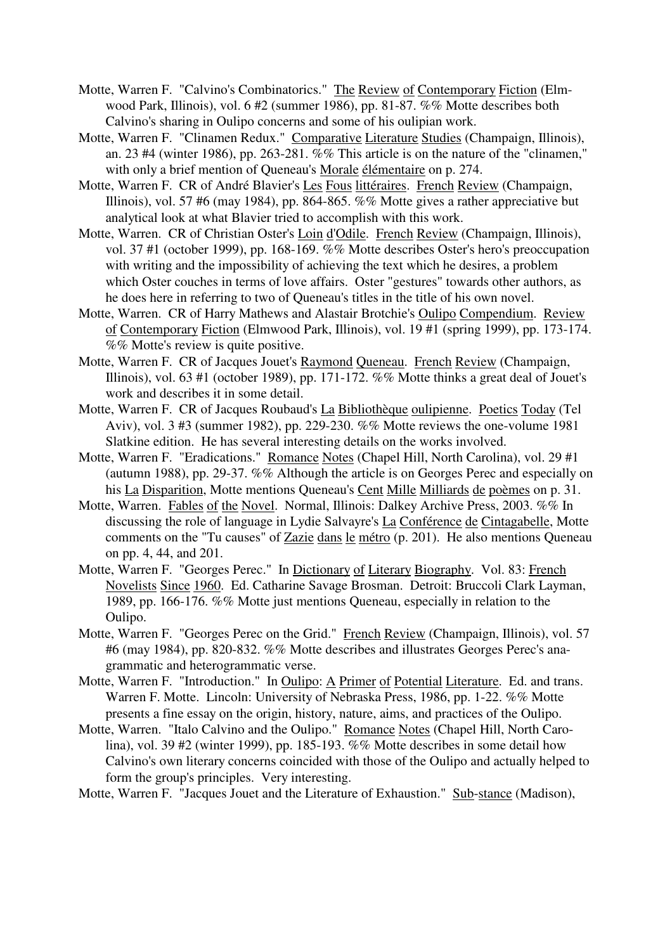- Motte, Warren F. "Calvino's Combinatorics." The Review of Contemporary Fiction (Elmwood Park, Illinois), vol. 6 #2 (summer 1986), pp. 81-87. %% Motte describes both Calvino's sharing in Oulipo concerns and some of his oulipian work.
- Motte, Warren F. "Clinamen Redux." Comparative Literature Studies (Champaign, Illinois), an. 23 #4 (winter 1986), pp. 263-281. %% This article is on the nature of the "clinamen," with only a brief mention of Queneau's Morale élémentaire on p. 274.
- Motte, Warren F. CR of André Blavier's Les Fous littéraires. French Review (Champaign, Illinois), vol. 57 #6 (may 1984), pp. 864-865. %% Motte gives a rather appreciative but analytical look at what Blavier tried to accomplish with this work.
- Motte, Warren. CR of Christian Oster's Loin d'Odile. French Review (Champaign, Illinois), vol. 37 #1 (october 1999), pp. 168-169. %% Motte describes Oster's hero's preoccupation with writing and the impossibility of achieving the text which he desires, a problem which Oster couches in terms of love affairs. Oster "gestures" towards other authors, as he does here in referring to two of Queneau's titles in the title of his own novel.
- Motte, Warren. CR of Harry Mathews and Alastair Brotchie's Oulipo Compendium. Review of Contemporary Fiction (Elmwood Park, Illinois), vol. 19 #1 (spring 1999), pp. 173-174. %% Motte's review is quite positive.
- Motte, Warren F. CR of Jacques Jouet's Raymond Queneau. French Review (Champaign, Illinois), vol.  $63 \text{ #1}$  (october 1989), pp. 171-172. %% Motte thinks a great deal of Jouet's work and describes it in some detail.
- Motte, Warren F. CR of Jacques Roubaud's La Bibliothèque oulipienne. Poetics Today (Tel Aviv), vol. 3 #3 (summer 1982), pp. 229-230. %% Motte reviews the one-volume 1981 Slatkine edition. He has several interesting details on the works involved.
- Motte, Warren F. "Eradications." Romance Notes (Chapel Hill, North Carolina), vol. 29 #1 (autumn 1988), pp. 29-37. %% Although the article is on Georges Perec and especially on his La Disparition, Motte mentions Queneau's Cent Mille Milliards de poèmes on p. 31.
- Motte, Warren. Fables of the Novel. Normal, Illinois: Dalkey Archive Press, 2003. %% In discussing the role of language in Lydie Salvayre's La Conférence de Cintagabelle, Motte comments on the "Tu causes" of Zazie dans le métro (p. 201). He also mentions Queneau on pp. 4, 44, and 201.
- Motte, Warren F. "Georges Perec." In Dictionary of Literary Biography. Vol. 83: French Novelists Since 1960. Ed. Catharine Savage Brosman. Detroit: Bruccoli Clark Layman, 1989, pp. 166-176. %% Motte just mentions Queneau, especially in relation to the Oulipo.
- Motte, Warren F. "Georges Perec on the Grid." French Review (Champaign, Illinois), vol. 57 #6 (may 1984), pp. 820-832. %% Motte describes and illustrates Georges Perec's anagrammatic and heterogrammatic verse.
- Motte, Warren F. "Introduction." In Oulipo: A Primer of Potential Literature. Ed. and trans. Warren F. Motte. Lincoln: University of Nebraska Press, 1986, pp. 1-22. %% Motte presents a fine essay on the origin, history, nature, aims, and practices of the Oulipo.
- Motte, Warren. "Italo Calvino and the Oulipo." Romance Notes (Chapel Hill, North Carolina), vol. 39 #2 (winter 1999), pp. 185-193. %% Motte describes in some detail how Calvino's own literary concerns coincided with those of the Oulipo and actually helped to form the group's principles. Very interesting.

Motte, Warren F. "Jacques Jouet and the Literature of Exhaustion." Sub-stance (Madison),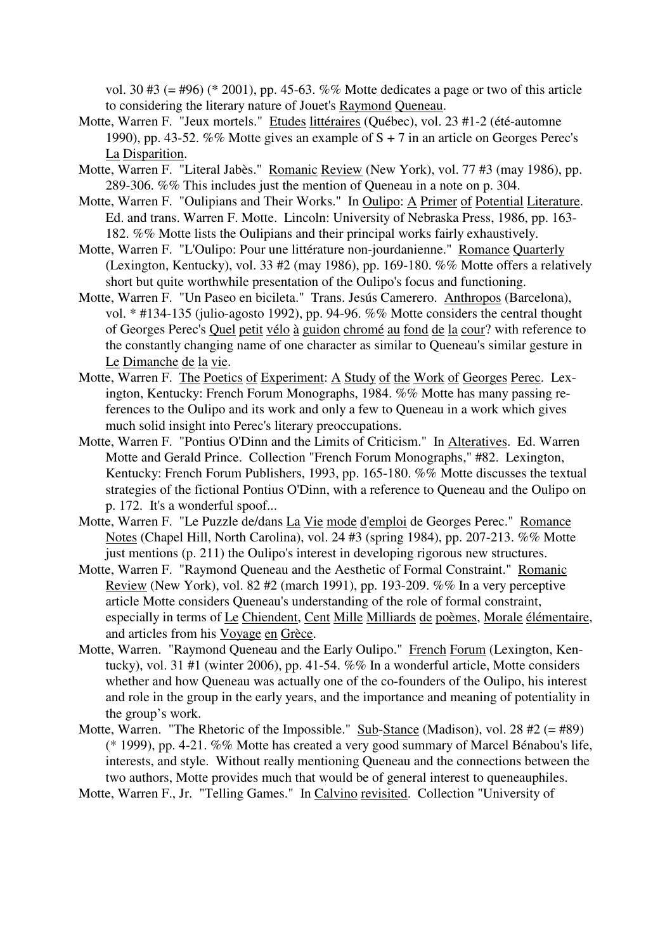vol. 30 #3 (= #96) (\* 2001), pp. 45-63. %% Motte dedicates a page or two of this article to considering the literary nature of Jouet's Raymond Queneau.

- Motte, Warren F. "Jeux mortels." Etudes littéraires (Québec), vol. 23 #1-2 (été-automne 1990), pp. 43-52. %% Motte gives an example of  $S + 7$  in an article on Georges Perec's La Disparition.
- Motte, Warren F. "Literal Jabès." Romanic Review (New York), vol. 77 #3 (may 1986), pp. 289-306. %% This includes just the mention of Queneau in a note on p. 304.
- Motte, Warren F. "Oulipians and Their Works." In Oulipo: A Primer of Potential Literature. Ed. and trans. Warren F. Motte. Lincoln: University of Nebraska Press, 1986, pp. 163- 182. %% Motte lists the Oulipians and their principal works fairly exhaustively.
- Motte, Warren F. "L'Oulipo: Pour une littérature non-jourdanienne." Romance Quarterly (Lexington, Kentucky), vol. 33 #2 (may 1986), pp. 169-180. %% Motte offers a relatively short but quite worthwhile presentation of the Oulipo's focus and functioning.
- Motte, Warren F. "Un Paseo en bicileta." Trans. Jesús Camerero. Anthropos (Barcelona), vol. \* #134-135 (julio-agosto 1992), pp. 94-96. %% Motte considers the central thought of Georges Perec's Quel petit vélo à guidon chromé au fond de la cour? with reference to the constantly changing name of one character as similar to Queneau's similar gesture in Le Dimanche de la vie.
- Motte, Warren F. The Poetics of Experiment: A Study of the Work of Georges Perec. Lexington, Kentucky: French Forum Monographs, 1984. %% Motte has many passing references to the Oulipo and its work and only a few to Queneau in a work which gives much solid insight into Perec's literary preoccupations.
- Motte, Warren F. "Pontius O'Dinn and the Limits of Criticism." In Alteratives. Ed. Warren Motte and Gerald Prince. Collection "French Forum Monographs," #82. Lexington, Kentucky: French Forum Publishers, 1993, pp. 165-180. %% Motte discusses the textual strategies of the fictional Pontius O'Dinn, with a reference to Queneau and the Oulipo on p. 172. It's a wonderful spoof...
- Motte, Warren F. "Le Puzzle de/dans La Vie mode d'emploi de Georges Perec." Romance Notes (Chapel Hill, North Carolina), vol. 24 #3 (spring 1984), pp. 207-213. %% Motte just mentions (p. 211) the Oulipo's interest in developing rigorous new structures.
- Motte, Warren F. "Raymond Queneau and the Aesthetic of Formal Constraint." Romanic Review (New York), vol. 82 #2 (march 1991), pp. 193-209. %% In a very perceptive article Motte considers Queneau's understanding of the role of formal constraint, especially in terms of Le Chiendent, Cent Mille Milliards de poèmes, Morale élémentaire, and articles from his Voyage en Grèce.
- Motte, Warren. "Raymond Queneau and the Early Oulipo." French Forum (Lexington, Kentucky), vol. 31 #1 (winter 2006), pp. 41-54. %% In a wonderful article, Motte considers whether and how Queneau was actually one of the co-founders of the Oulipo, his interest and role in the group in the early years, and the importance and meaning of potentiality in the group's work.
- Motte, Warren. "The Rhetoric of the Impossible." Sub-Stance (Madison), vol. 28 #2 (= #89) (\* 1999), pp. 4-21. %% Motte has created a very good summary of Marcel Bénabou's life, interests, and style. Without really mentioning Queneau and the connections between the two authors, Motte provides much that would be of general interest to queneauphiles.

Motte, Warren F., Jr. "Telling Games." In Calvino revisited. Collection "University of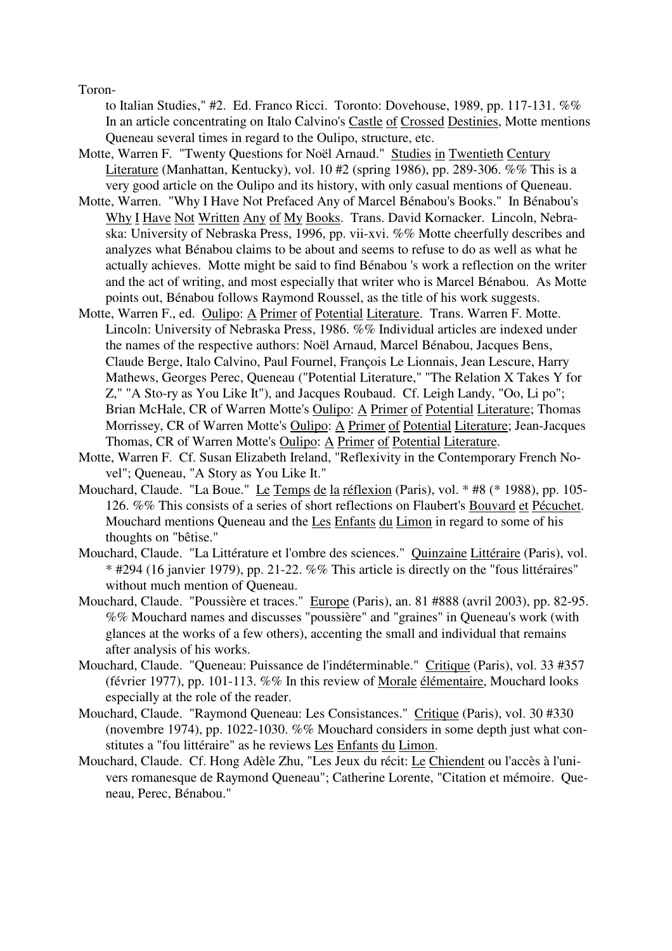Toron-

to Italian Studies," #2. Ed. Franco Ricci. Toronto: Dovehouse, 1989, pp. 117-131. %% In an article concentrating on Italo Calvino's Castle of Crossed Destinies, Motte mentions Queneau several times in regard to the Oulipo, structure, etc.

- Motte, Warren F. "Twenty Questions for Noël Arnaud." Studies in Twentieth Century Literature (Manhattan, Kentucky), vol. 10 #2 (spring 1986), pp. 289-306. %% This is a very good article on the Oulipo and its history, with only casual mentions of Queneau.
- Motte, Warren. "Why I Have Not Prefaced Any of Marcel Bénabou's Books." In Bénabou's Why I Have Not Written Any of My Books. Trans. David Kornacker. Lincoln, Nebraska: University of Nebraska Press, 1996, pp. vii-xvi. %% Motte cheerfully describes and analyzes what Bénabou claims to be about and seems to refuse to do as well as what he actually achieves. Motte might be said to find Bénabou 's work a reflection on the writer and the act of writing, and most especially that writer who is Marcel Bénabou. As Motte points out, Bénabou follows Raymond Roussel, as the title of his work suggests.
- Motte, Warren F., ed. Oulipo: A Primer of Potential Literature. Trans. Warren F. Motte. Lincoln: University of Nebraska Press, 1986. %% Individual articles are indexed under the names of the respective authors: Noël Arnaud, Marcel Bénabou, Jacques Bens, Claude Berge, Italo Calvino, Paul Fournel, François Le Lionnais, Jean Lescure, Harry Mathews, Georges Perec, Queneau ("Potential Literature," "The Relation X Takes Y for Z," "A Sto-ry as You Like It"), and Jacques Roubaud. Cf. Leigh Landy, "Oo, Li po"; Brian McHale, CR of Warren Motte's Oulipo: A Primer of Potential Literature; Thomas Morrissey, CR of Warren Motte's Oulipo: A Primer of Potential Literature; Jean-Jacques Thomas, CR of Warren Motte's Oulipo: A Primer of Potential Literature.
- Motte, Warren F. Cf. Susan Elizabeth Ireland, "Reflexivity in the Contemporary French Novel"; Queneau, "A Story as You Like It."
- Mouchard, Claude. "La Boue." Le Temps de la réflexion (Paris), vol. \* #8 (\* 1988), pp. 105- 126. %% This consists of a series of short reflections on Flaubert's Bouvard et Pécuchet. Mouchard mentions Queneau and the Les Enfants du Limon in regard to some of his thoughts on "bêtise."
- Mouchard, Claude. "La Littérature et l'ombre des sciences." Quinzaine Littéraire (Paris), vol. \* #294 (16 janvier 1979), pp. 21-22. %% This article is directly on the "fous littéraires" without much mention of Queneau.
- Mouchard, Claude. "Poussière et traces." Europe (Paris), an. 81 #888 (avril 2003), pp. 82-95. %% Mouchard names and discusses "poussière" and "graines" in Queneau's work (with glances at the works of a few others), accenting the small and individual that remains after analysis of his works.
- Mouchard, Claude. "Queneau: Puissance de l'indéterminable." Critique (Paris), vol. 33 #357 (février 1977), pp. 101-113. %% In this review of Morale élémentaire, Mouchard looks especially at the role of the reader.
- Mouchard, Claude. "Raymond Queneau: Les Consistances." Critique (Paris), vol. 30 #330 (novembre 1974), pp. 1022-1030. %% Mouchard considers in some depth just what constitutes a "fou littéraire" as he reviews Les Enfants du Limon.
- Mouchard, Claude. Cf. Hong Adèle Zhu, "Les Jeux du récit: Le Chiendent ou l'accès à l'univers romanesque de Raymond Queneau"; Catherine Lorente, "Citation et mémoire. Queneau, Perec, Bénabou."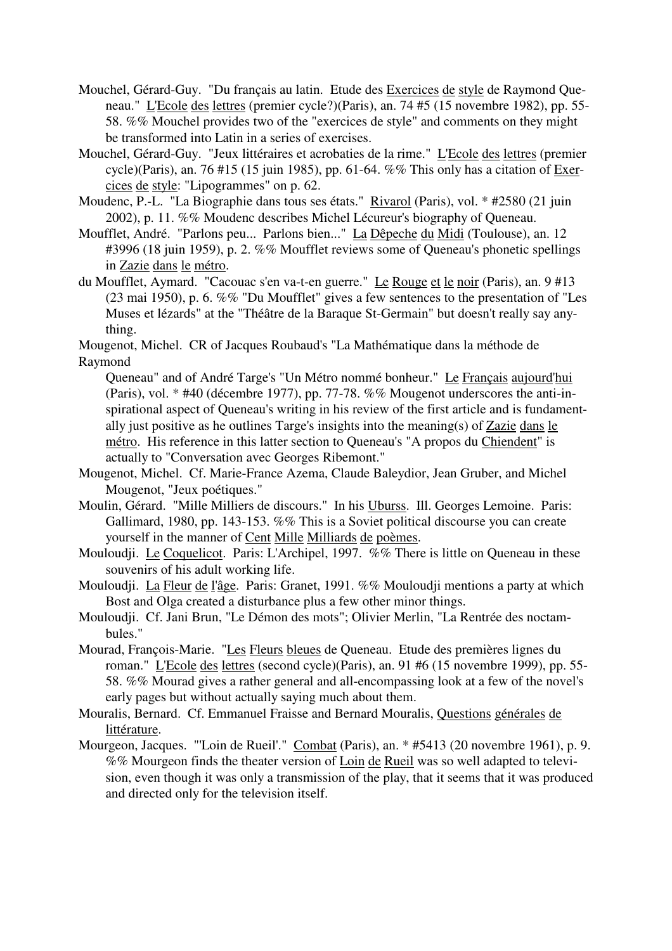- Mouchel, Gérard-Guy. "Du français au latin. Etude des Exercices de style de Raymond Queneau." L'Ecole des lettres (premier cycle?)(Paris), an. 74 #5 (15 novembre 1982), pp. 55- 58. %% Mouchel provides two of the "exercices de style" and comments on they might be transformed into Latin in a series of exercises.
- Mouchel, Gérard-Guy. "Jeux littéraires et acrobaties de la rime." L'Ecole des lettres (premier cycle)(Paris), an. 76 #15 (15 juin 1985), pp. 61-64. %% This only has a citation of Exercices de style: "Lipogrammes" on p. 62.
- Moudenc, P.-L. "La Biographie dans tous ses états." Rivarol (Paris), vol. \* #2580 (21 juin 2002), p. 11. %% Moudenc describes Michel Lécureur's biography of Queneau.
- Moufflet, André. "Parlons peu... Parlons bien..." La Dêpeche du Midi (Toulouse), an. 12 #3996 (18 juin 1959), p. 2. %% Moufflet reviews some of Queneau's phonetic spellings in Zazie dans le métro.
- du Moufflet, Aymard. "Cacouac s'en va-t-en guerre." Le Rouge et le noir (Paris), an. 9 #13 (23 mai 1950), p. 6. %% "Du Moufflet" gives a few sentences to the presentation of "Les Muses et lézards" at the "Théâtre de la Baraque St-Germain" but doesn't really say anything.

Mougenot, Michel. CR of Jacques Roubaud's "La Mathématique dans la méthode de Raymond

Queneau" and of André Targe's "Un Métro nommé bonheur." Le Français aujourd'hui (Paris), vol. \* #40 (décembre 1977), pp. 77-78. %% Mougenot underscores the anti-inspirational aspect of Queneau's writing in his review of the first article and is fundamentally just positive as he outlines Targe's insights into the meaning(s) of Zazie dans le métro. His reference in this latter section to Queneau's "A propos du Chiendent" is actually to "Conversation avec Georges Ribemont."

- Mougenot, Michel. Cf. Marie-France Azema, Claude Baleydior, Jean Gruber, and Michel Mougenot, "Jeux poétiques."
- Moulin, Gérard. "Mille Milliers de discours." In his Uburss. Ill. Georges Lemoine. Paris: Gallimard, 1980, pp. 143-153. %% This is a Soviet political discourse you can create yourself in the manner of Cent Mille Milliards de poèmes.
- Mouloudji. Le Coquelicot. Paris: L'Archipel, 1997. %% There is little on Queneau in these souvenirs of his adult working life.
- Mouloudji. La Fleur de l'âge. Paris: Granet, 1991. %% Mouloudji mentions a party at which Bost and Olga created a disturbance plus a few other minor things.
- Mouloudji. Cf. Jani Brun, "Le Démon des mots"; Olivier Merlin, "La Rentrée des noctambules."
- Mourad, François-Marie. "Les Fleurs bleues de Queneau. Etude des premières lignes du roman." L'Ecole des lettres (second cycle)(Paris), an. 91 #6 (15 novembre 1999), pp. 55- 58. %% Mourad gives a rather general and all-encompassing look at a few of the novel's early pages but without actually saying much about them.
- Mouralis, Bernard. Cf. Emmanuel Fraisse and Bernard Mouralis, Questions générales de littérature.
- Mourgeon, Jacques. "'Loin de Rueil'." Combat (Paris), an. \* #5413 (20 novembre 1961), p. 9. %% Mourgeon finds the theater version of <u>Loin de Rueil</u> was so well adapted to television, even though it was only a transmission of the play, that it seems that it was produced and directed only for the television itself.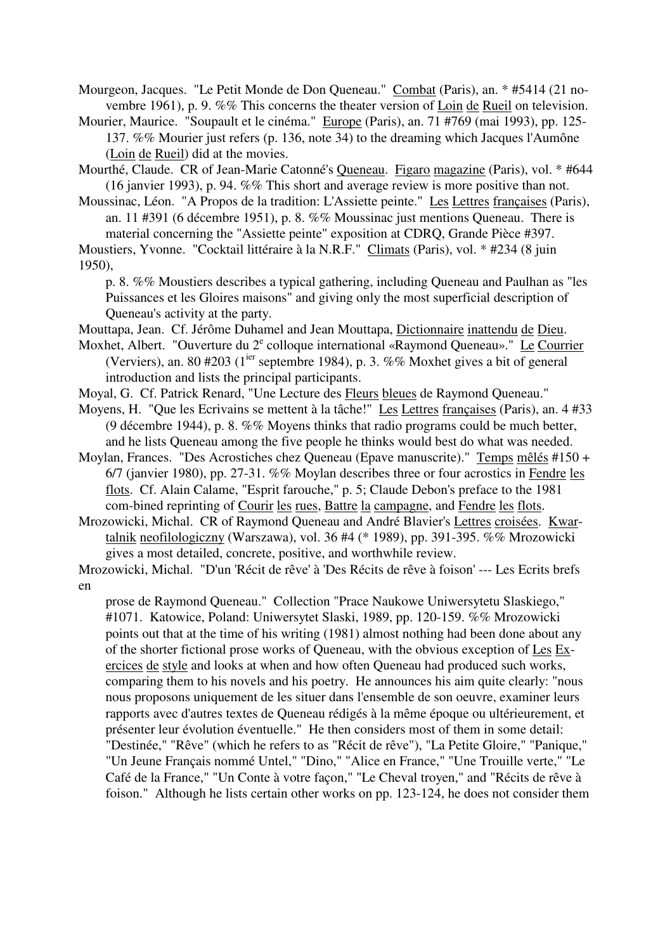Mourgeon, Jacques. "Le Petit Monde de Don Queneau." Combat (Paris), an. \* #5414 (21 novembre 1961), p. 9. %% This concerns the theater version of Loin de Rueil on television.

Mourier, Maurice. "Soupault et le cinéma." Europe (Paris), an. 71 #769 (mai 1993), pp. 125- 137. %% Mourier just refers (p. 136, note 34) to the dreaming which Jacques l'Aumône (Loin de Rueil) did at the movies.

Mourthé, Claude. CR of Jean-Marie Catonné's Queneau. Figaro magazine (Paris), vol. \* #644 (16 janvier 1993), p. 94. %% This short and average review is more positive than not.

Moussinac, Léon. "A Propos de la tradition: L'Assiette peinte." Les Lettres françaises (Paris), an. 11 #391 (6 décembre 1951), p. 8. %% Moussinac just mentions Queneau. There is material concerning the "Assiette peinte" exposition at CDRQ, Grande Pièce #397.

Moustiers, Yvonne. "Cocktail littéraire à la N.R.F." Climats (Paris), vol. \* #234 (8 juin 1950),

p. 8. %% Moustiers describes a typical gathering, including Queneau and Paulhan as "les Puissances et les Gloires maisons" and giving only the most superficial description of Queneau's activity at the party.

Mouttapa, Jean. Cf. Jérôme Duhamel and Jean Mouttapa, Dictionnaire inattendu de Dieu.

- Moxhet, Albert. "Ouverture du 2<sup>e</sup> colloque international «Raymond Queneau»." Le Courrier (Verviers), an. 80 #203 ( $1<sup>ier</sup>$  septembre 1984), p. 3. %% Moxhet gives a bit of general introduction and lists the principal participants.
- Moyal, G. Cf. Patrick Renard, "Une Lecture des Fleurs bleues de Raymond Queneau."

Moyens, H. "Que les Ecrivains se mettent à la tâche!" Les Lettres françaises (Paris), an. 4 #33 (9 décembre 1944), p. 8. %% Moyens thinks that radio programs could be much better, and he lists Queneau among the five people he thinks would best do what was needed.

Moylan, Frances. "Des Acrostiches chez Queneau (Epave manuscrite)." Temps mêlés #150 + 6/7 (janvier 1980), pp. 27-31. %% Moylan describes three or four acrostics in Fendre les flots. Cf. Alain Calame, "Esprit farouche," p. 5; Claude Debon's preface to the 1981 com-bined reprinting of Courir les rues, Battre la campagne, and Fendre les flots.

Mrozowicki, Michal. CR of Raymond Queneau and André Blavier's Lettres croisées. Kwartalnik neofilologiczny (Warszawa), vol. 36 #4 (\* 1989), pp. 391-395. %% Mrozowicki gives a most detailed, concrete, positive, and worthwhile review.

Mrozowicki, Michal. "D'un 'Récit de rêve' à 'Des Récits de rêve à foison' --- Les Ecrits brefs en

prose de Raymond Queneau." Collection "Prace Naukowe Uniwersytetu Slaskiego," #1071. Katowice, Poland: Uniwersytet Slaski, 1989, pp. 120-159. %% Mrozowicki points out that at the time of his writing (1981) almost nothing had been done about any of the shorter fictional prose works of Queneau, with the obvious exception of Les Exercices de style and looks at when and how often Queneau had produced such works, comparing them to his novels and his poetry. He announces his aim quite clearly: "nous nous proposons uniquement de les situer dans l'ensemble de son oeuvre, examiner leurs rapports avec d'autres textes de Queneau rédigés à la même époque ou ultérieurement, et présenter leur évolution éventuelle." He then considers most of them in some detail: "Destinée," "Rêve" (which he refers to as "Récit de rêve"), "La Petite Gloire," "Panique," "Un Jeune Français nommé Untel," "Dino," "Alice en France," "Une Trouille verte," "Le Café de la France," "Un Conte à votre façon," "Le Cheval troyen," and "Récits de rêve à foison." Although he lists certain other works on pp. 123-124, he does not consider them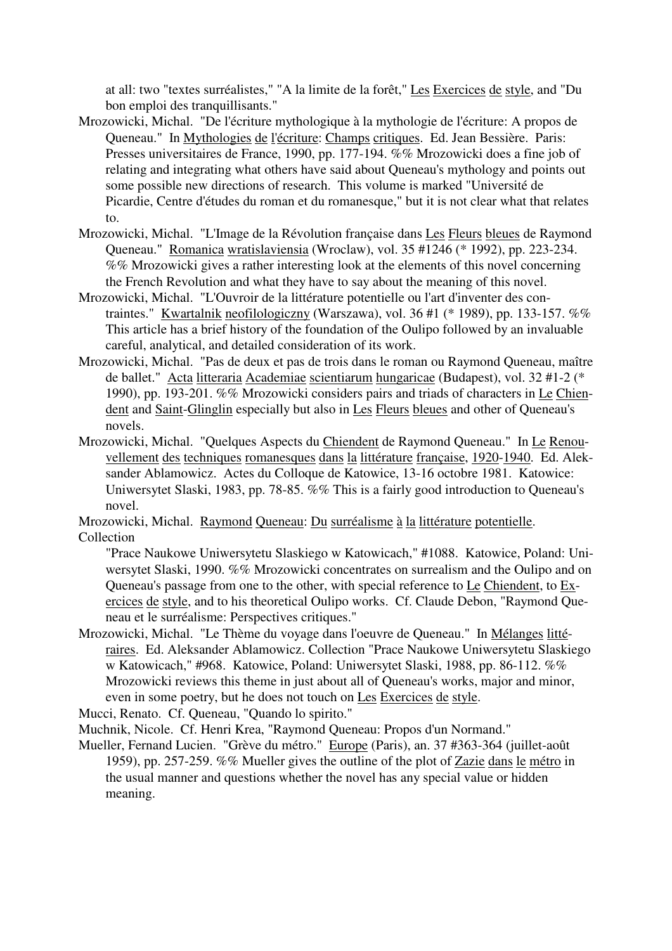at all: two "textes surréalistes," "A la limite de la forêt," Les Exercices de style, and "Du bon emploi des tranquillisants."

- Mrozowicki, Michal. "De l'écriture mythologique à la mythologie de l'écriture: A propos de Queneau." In Mythologies de l'écriture: Champs critiques. Ed. Jean Bessière. Paris: Presses universitaires de France, 1990, pp. 177-194. %% Mrozowicki does a fine job of relating and integrating what others have said about Queneau's mythology and points out some possible new directions of research. This volume is marked "Université de Picardie, Centre d'études du roman et du romanesque," but it is not clear what that relates to.
- Mrozowicki, Michal. "L'Image de la Révolution française dans Les Fleurs bleues de Raymond Queneau." Romanica wratislaviensia (Wroclaw), vol. 35 #1246 (\* 1992), pp. 223-234. %% Mrozowicki gives a rather interesting look at the elements of this novel concerning the French Revolution and what they have to say about the meaning of this novel.
- Mrozowicki, Michal. "L'Ouvroir de la littérature potentielle ou l'art d'inventer des contraintes." Kwartalnik neofilologiczny (Warszawa), vol. 36 #1 (\* 1989), pp. 133-157. %% This article has a brief history of the foundation of the Oulipo followed by an invaluable careful, analytical, and detailed consideration of its work.
- Mrozowicki, Michal. "Pas de deux et pas de trois dans le roman ou Raymond Queneau, maître de ballet." Acta litteraria Academiae scientiarum hungaricae (Budapest), vol. 32 #1-2 (\* 1990), pp. 193-201. %% Mrozowicki considers pairs and triads of characters in Le Chiendent and Saint-Glinglin especially but also in Les Fleurs bleues and other of Queneau's novels.
- Mrozowicki, Michal. "Quelques Aspects du Chiendent de Raymond Queneau." In Le Renouvellement des techniques romanesques dans la littérature française, 1920-1940. Ed. Aleksander Ablamowicz. Actes du Colloque de Katowice, 13-16 octobre 1981. Katowice: Uniwersytet Slaski, 1983, pp. 78-85. %% This is a fairly good introduction to Queneau's novel.

Mrozowicki, Michal. Raymond Queneau: Du surréalisme à la littérature potentielle. Collection

"Prace Naukowe Uniwersytetu Slaskiego w Katowicach," #1088. Katowice, Poland: Uniwersytet Slaski, 1990. %% Mrozowicki concentrates on surrealism and the Oulipo and on Queneau's passage from one to the other, with special reference to  $L_{e}$  Chiendent, to  $Ex$ ercices de style, and to his theoretical Oulipo works. Cf. Claude Debon, "Raymond Queneau et le surréalisme: Perspectives critiques."

Mrozowicki, Michal. "Le Thème du voyage dans l'oeuvre de Queneau." In Mélanges littéraires. Ed. Aleksander Ablamowicz. Collection "Prace Naukowe Uniwersytetu Slaskiego w Katowicach," #968. Katowice, Poland: Uniwersytet Slaski, 1988, pp. 86-112. %% Mrozowicki reviews this theme in just about all of Queneau's works, major and minor, even in some poetry, but he does not touch on Les Exercices de style.

Mucci, Renato. Cf. Queneau, "Quando lo spirito."

Muchnik, Nicole. Cf. Henri Krea, "Raymond Queneau: Propos d'un Normand."

Mueller, Fernand Lucien. "Grève du métro." Europe (Paris), an. 37 #363-364 (juillet-août 1959), pp. 257-259. %% Mueller gives the outline of the plot of Zazie dans le métro in the usual manner and questions whether the novel has any special value or hidden meaning.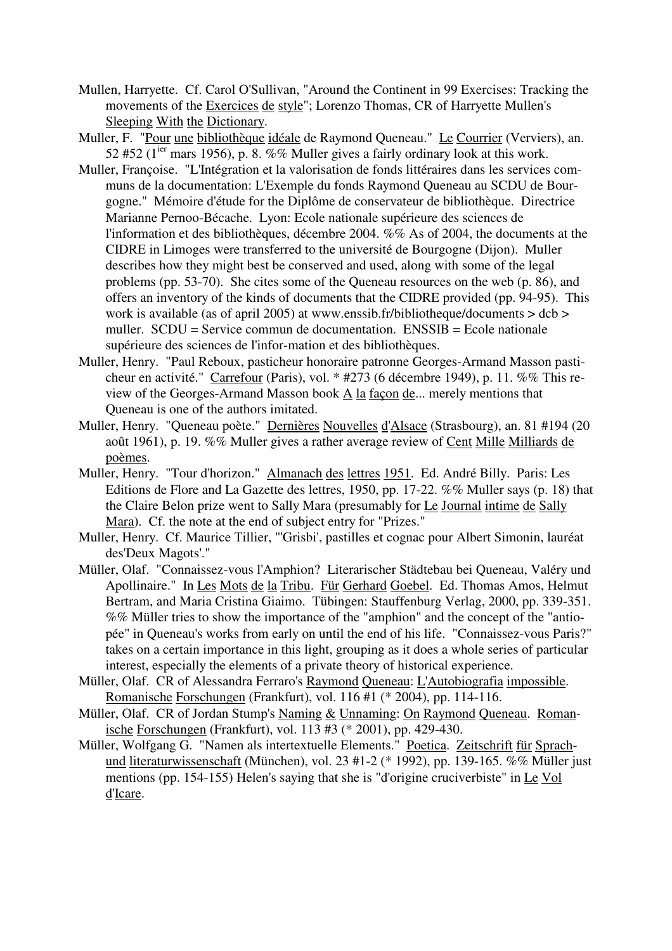- Mullen, Harryette. Cf. Carol O'Sullivan, "Around the Continent in 99 Exercises: Tracking the movements of the Exercices de style"; Lorenzo Thomas, CR of Harryette Mullen's Sleeping With the Dictionary.
- Muller, F. "Pour une bibliothèque idéale de Raymond Queneau." Le Courrier (Verviers), an. 52 #52 ( $1^{ier}$  mars 1956), p. 8. %% Muller gives a fairly ordinary look at this work.
- Muller, Françoise. "L'Intégration et la valorisation de fonds littéraires dans les services communs de la documentation: L'Exemple du fonds Raymond Queneau au SCDU de Bourgogne." Mémoire d'étude for the Diplôme de conservateur de bibliothèque. Directrice Marianne Pernoo-Bécache. Lyon: Ecole nationale supérieure des sciences de l'information et des bibliothèques, décembre 2004. %% As of 2004, the documents at the CIDRE in Limoges were transferred to the université de Bourgogne (Dijon). Muller describes how they might best be conserved and used, along with some of the legal problems (pp. 53-70). She cites some of the Queneau resources on the web (p. 86), and offers an inventory of the kinds of documents that the CIDRE provided (pp. 94-95). This work is available (as of april 2005) at www.enssib.fr/bibliotheque/documents > dcb > muller.  $SCDU = Service$  commun de documentation.  $ENSSIB = Ecc$ enationale supérieure des sciences de l'infor-mation et des bibliothèques.
- Muller, Henry. "Paul Reboux, pasticheur honoraire patronne Georges-Armand Masson pasticheur en activité." Carrefour (Paris), vol. \* #273 (6 décembre 1949), p. 11. %% This review of the Georges-Armand Masson book A la façon de... merely mentions that Queneau is one of the authors imitated.
- Muller, Henry. "Queneau poète." Dernières Nouvelles d'Alsace (Strasbourg), an. 81 #194 (20 août 1961), p. 19. %% Muller gives a rather average review of Cent Mille Milliards de poèmes.
- Muller, Henry. "Tour d'horizon." Almanach des lettres 1951. Ed. André Billy. Paris: Les Editions de Flore and La Gazette des lettres, 1950, pp. 17-22. %% Muller says (p. 18) that the Claire Belon prize went to Sally Mara (presumably for Le Journal intime de Sally Mara). Cf. the note at the end of subject entry for "Prizes."
- Muller, Henry. Cf. Maurice Tillier, "'Grisbi', pastilles et cognac pour Albert Simonin, lauréat des'Deux Magots'."
- Müller, Olaf. "Connaissez-vous l'Amphion? Literarischer Städtebau bei Queneau, Valéry und Apollinaire." In Les Mots de la Tribu. Für Gerhard Goebel. Ed. Thomas Amos, Helmut Bertram, and Maria Cristina Giaimo. Tübingen: Stauffenburg Verlag, 2000, pp. 339-351. %% Müller tries to show the importance of the "amphion" and the concept of the "antiopée" in Queneau's works from early on until the end of his life. "Connaissez-vous Paris?" takes on a certain importance in this light, grouping as it does a whole series of particular interest, especially the elements of a private theory of historical experience.
- Müller, Olaf. CR of Alessandra Ferraro's Raymond Queneau: L'Autobiografia impossible. Romanische Forschungen (Frankfurt), vol. 116 #1 (\* 2004), pp. 114-116.
- Müller, Olaf. CR of Jordan Stump's Naming & Unnaming: On Raymond Queneau. Romanische Forschungen (Frankfurt), vol. 113 #3 (\* 2001), pp. 429-430.
- Müller, Wolfgang G. "Namen als intertextuelle Elements." Poetica. Zeitschrift für Sprachund literaturwissenschaft (München), vol. 23 #1-2 (\* 1992), pp. 139-165. %% Müller just mentions (pp. 154-155) Helen's saying that she is "d'origine cruciverbiste" in Le Vol d'Icare.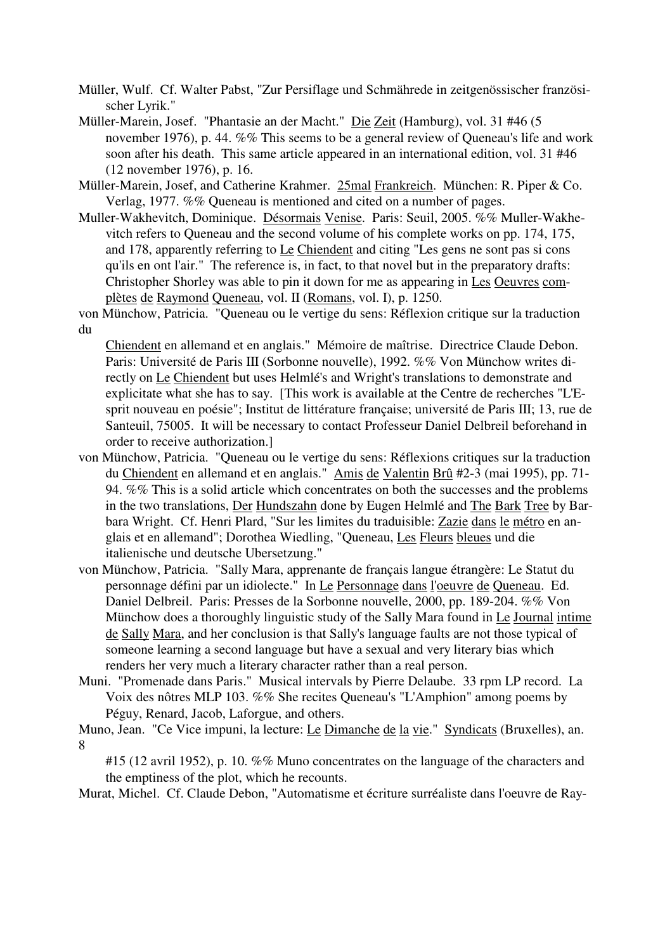Müller, Wulf. Cf. Walter Pabst, "Zur Persiflage und Schmährede in zeitgenössischer französischer Lyrik."

- Müller-Marein, Josef. "Phantasie an der Macht." Die Zeit (Hamburg), vol. 31 #46 (5 november 1976), p. 44. %% This seems to be a general review of Queneau's life and work soon after his death. This same article appeared in an international edition, vol. 31 #46 (12 november 1976), p. 16.
- Müller-Marein, Josef, and Catherine Krahmer. 25mal Frankreich. München: R. Piper & Co. Verlag, 1977. %% Queneau is mentioned and cited on a number of pages.
- Muller-Wakhevitch, Dominique. Désormais Venise. Paris: Seuil, 2005. %% Muller-Wakhevitch refers to Queneau and the second volume of his complete works on pp. 174, 175, and 178, apparently referring to Le Chiendent and citing "Les gens ne sont pas si cons qu'ils en ont l'air." The reference is, in fact, to that novel but in the preparatory drafts: Christopher Shorley was able to pin it down for me as appearing in Les Oeuvres complètes de Raymond Queneau, vol. II (Romans, vol. I), p. 1250.

von Münchow, Patricia. "Queneau ou le vertige du sens: Réflexion critique sur la traduction du

Chiendent en allemand et en anglais." Mémoire de maîtrise. Directrice Claude Debon. Paris: Université de Paris III (Sorbonne nouvelle), 1992. %% Von Münchow writes directly on Le Chiendent but uses Helmlé's and Wright's translations to demonstrate and explicitate what she has to say. [This work is available at the Centre de recherches "L'Esprit nouveau en poésie"; Institut de littérature française; université de Paris III; 13, rue de Santeuil, 75005. It will be necessary to contact Professeur Daniel Delbreil beforehand in order to receive authorization.]

- von Münchow, Patricia. "Queneau ou le vertige du sens: Réflexions critiques sur la traduction du Chiendent en allemand et en anglais." Amis de Valentin Brû #2-3 (mai 1995), pp. 71- 94. %% This is a solid article which concentrates on both the successes and the problems in the two translations, Der Hundszahn done by Eugen Helmlé and The Bark Tree by Barbara Wright. Cf. Henri Plard, "Sur les limites du traduisible: Zazie dans le métro en anglais et en allemand"; Dorothea Wiedling, "Queneau, Les Fleurs bleues und die italienische und deutsche Ubersetzung."
- von Münchow, Patricia. "Sally Mara, apprenante de français langue étrangère: Le Statut du personnage défini par un idiolecte." In Le Personnage dans l'oeuvre de Queneau. Ed. Daniel Delbreil. Paris: Presses de la Sorbonne nouvelle, 2000, pp. 189-204. %% Von Münchow does a thoroughly linguistic study of the Sally Mara found in Le Journal intime de Sally Mara, and her conclusion is that Sally's language faults are not those typical of someone learning a second language but have a sexual and very literary bias which renders her very much a literary character rather than a real person.
- Muni. "Promenade dans Paris." Musical intervals by Pierre Delaube. 33 rpm LP record. La Voix des nôtres MLP 103. %% She recites Queneau's "L'Amphion" among poems by Péguy, Renard, Jacob, Laforgue, and others.

Muno, Jean. "Ce Vice impuni, la lecture: Le Dimanche de la vie." Syndicats (Bruxelles), an. 8

#15 (12 avril 1952), p. 10. %% Muno concentrates on the language of the characters and the emptiness of the plot, which he recounts.

Murat, Michel. Cf. Claude Debon, "Automatisme et écriture surréaliste dans l'oeuvre de Ray-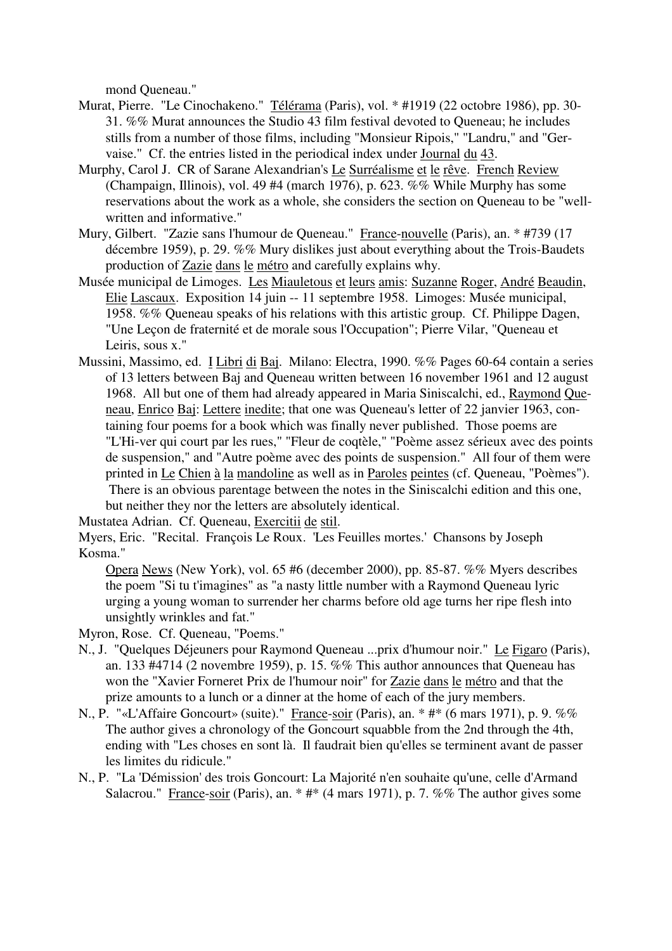mond Queneau."

- Murat, Pierre. "Le Cinochakeno." Télérama (Paris), vol. \* #1919 (22 octobre 1986), pp. 30- 31. %% Murat announces the Studio 43 film festival devoted to Queneau; he includes stills from a number of those films, including "Monsieur Ripois," "Landru," and "Gervaise." Cf. the entries listed in the periodical index under Journal du 43.
- Murphy, Carol J. CR of Sarane Alexandrian's Le Surréalisme et le rêve. French Review (Champaign, Illinois), vol. 49 #4 (march 1976), p. 623. %% While Murphy has some reservations about the work as a whole, she considers the section on Queneau to be "wellwritten and informative."
- Mury, Gilbert. "Zazie sans l'humour de Queneau." France-nouvelle (Paris), an. \* #739 (17 décembre 1959), p. 29. %% Mury dislikes just about everything about the Trois-Baudets production of Zazie dans le métro and carefully explains why.
- Musée municipal de Limoges. Les Miauletous et leurs amis: Suzanne Roger, André Beaudin, Elie Lascaux. Exposition 14 juin -- 11 septembre 1958. Limoges: Musée municipal, 1958. %% Queneau speaks of his relations with this artistic group. Cf. Philippe Dagen, "Une Leçon de fraternité et de morale sous l'Occupation"; Pierre Vilar, "Queneau et Leiris, sous x."
- Mussini, Massimo, ed. I Libri di Baj. Milano: Electra, 1990. %% Pages 60-64 contain a series of 13 letters between Baj and Queneau written between 16 november 1961 and 12 august 1968. All but one of them had already appeared in Maria Siniscalchi, ed., Raymond Queneau, Enrico Baj: Lettere inedite; that one was Queneau's letter of 22 janvier 1963, containing four poems for a book which was finally never published. Those poems are "L'Hi-ver qui court par les rues," "Fleur de coqtèle," "Poème assez sérieux avec des points de suspension," and "Autre poème avec des points de suspension." All four of them were printed in Le Chien à la mandoline as well as in Paroles peintes (cf. Queneau, "Poèmes"). There is an obvious parentage between the notes in the Siniscalchi edition and this one, but neither they nor the letters are absolutely identical.

Mustatea Adrian. Cf. Queneau, Exercitii de stil.

Myers, Eric. "Recital. François Le Roux. 'Les Feuilles mortes.' Chansons by Joseph Kosma."

Opera News (New York), vol. 65 #6 (december 2000), pp. 85-87. %% Myers describes the poem "Si tu t'imagines" as "a nasty little number with a Raymond Queneau lyric urging a young woman to surrender her charms before old age turns her ripe flesh into unsightly wrinkles and fat."

Myron, Rose. Cf. Queneau, "Poems."

- N., J. "Quelques Déjeuners pour Raymond Queneau ...prix d'humour noir." Le Figaro (Paris), an. 133 #4714 (2 novembre 1959), p. 15. %% This author announces that Queneau has won the "Xavier Forneret Prix de l'humour noir" for Zazie dans le métro and that the prize amounts to a lunch or a dinner at the home of each of the jury members.
- N., P. "«L'Affaire Goncourt» (suite)." France-soir (Paris), an. \* #\* (6 mars 1971), p. 9. %% The author gives a chronology of the Goncourt squabble from the 2nd through the 4th, ending with "Les choses en sont là. Il faudrait bien qu'elles se terminent avant de passer les limites du ridicule."
- N., P. "La 'Démission' des trois Goncourt: La Majorité n'en souhaite qu'une, celle d'Armand Salacrou." France-soir (Paris), an.  $*$  # $*$  (4 mars 1971), p. 7. %% The author gives some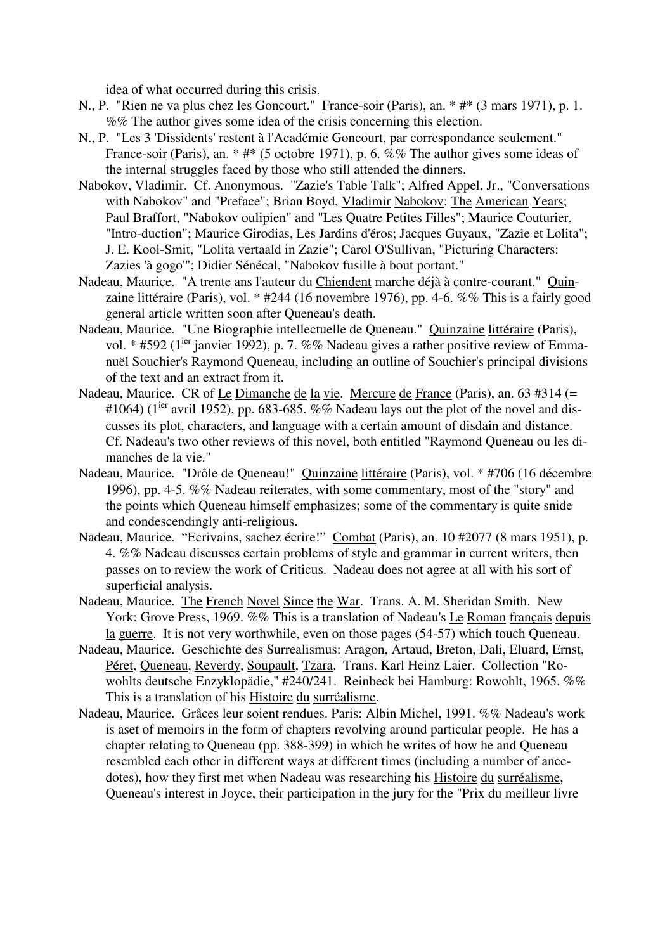idea of what occurred during this crisis.

- N., P. "Rien ne va plus chez les Goncourt." France-soir (Paris), an. \* #\* (3 mars 1971), p. 1. %% The author gives some idea of the crisis concerning this election.
- N., P. "Les 3 'Dissidents' restent à l'Académie Goncourt, par correspondance seulement." France-soir (Paris), an. \* #\* (5 octobre 1971), p. 6. %% The author gives some ideas of the internal struggles faced by those who still attended the dinners.
- Nabokov, Vladimir. Cf. Anonymous. "Zazie's Table Talk"; Alfred Appel, Jr., "Conversations with Nabokov" and "Preface"; Brian Boyd, Vladimir Nabokov: The American Years; Paul Braffort, "Nabokov oulipien" and "Les Quatre Petites Filles"; Maurice Couturier, "Intro-duction"; Maurice Girodias, Les Jardins d'éros; Jacques Guyaux, "Zazie et Lolita"; J. E. Kool-Smit, "Lolita vertaald in Zazie"; Carol O'Sullivan, "Picturing Characters: Zazies 'à gogo'"; Didier Sénécal, "Nabokov fusille à bout portant."
- Nadeau, Maurice. "A trente ans l'auteur du Chiendent marche déjà à contre-courant." Quinzaine littéraire (Paris), vol. \* #244 (16 novembre 1976), pp. 4-6. %% This is a fairly good general article written soon after Queneau's death.
- Nadeau, Maurice. "Une Biographie intellectuelle de Queneau." Quinzaine littéraire (Paris), vol. \* #592 (1<sup>ier</sup> janvier 1992), p. 7. %% Nadeau gives a rather positive review of Emmanuël Souchier's Raymond Queneau, including an outline of Souchier's principal divisions of the text and an extract from it.
- Nadeau, Maurice. CR of Le Dimanche de la vie. Mercure de France (Paris), an. 63 #314 (= #1064) ( $1^{ier}$  avril 1952), pp. 683-685. %% Nadeau lays out the plot of the novel and discusses its plot, characters, and language with a certain amount of disdain and distance. Cf. Nadeau's two other reviews of this novel, both entitled "Raymond Queneau ou les dimanches de la vie."
- Nadeau, Maurice. "Drôle de Queneau!" Quinzaine littéraire (Paris), vol. \* #706 (16 décembre 1996), pp. 4-5. %% Nadeau reiterates, with some commentary, most of the "story" and the points which Queneau himself emphasizes; some of the commentary is quite snide and condescendingly anti-religious.
- Nadeau, Maurice. "Ecrivains, sachez écrire!" Combat (Paris), an. 10 #2077 (8 mars 1951), p. 4. %% Nadeau discusses certain problems of style and grammar in current writers, then passes on to review the work of Criticus. Nadeau does not agree at all with his sort of superficial analysis.
- Nadeau, Maurice. The French Novel Since the War. Trans. A. M. Sheridan Smith. New York: Grove Press, 1969. %% This is a translation of Nadeau's Le Roman français depuis la guerre. It is not very worthwhile, even on those pages (54-57) which touch Queneau.
- Nadeau, Maurice. Geschichte des Surrealismus: Aragon, Artaud, Breton, Dali, Eluard, Ernst, Péret, Queneau, Reverdy, Soupault, Tzara. Trans. Karl Heinz Laier. Collection "Rowohlts deutsche Enzyklopädie," #240/241. Reinbeck bei Hamburg: Rowohlt, 1965. %% This is a translation of his Histoire du surréalisme.
- Nadeau, Maurice. Grâces leur soient rendues. Paris: Albin Michel, 1991. %% Nadeau's work is aset of memoirs in the form of chapters revolving around particular people. He has a chapter relating to Queneau (pp. 388-399) in which he writes of how he and Queneau resembled each other in different ways at different times (including a number of anecdotes), how they first met when Nadeau was researching his Histoire du surréalisme, Queneau's interest in Joyce, their participation in the jury for the "Prix du meilleur livre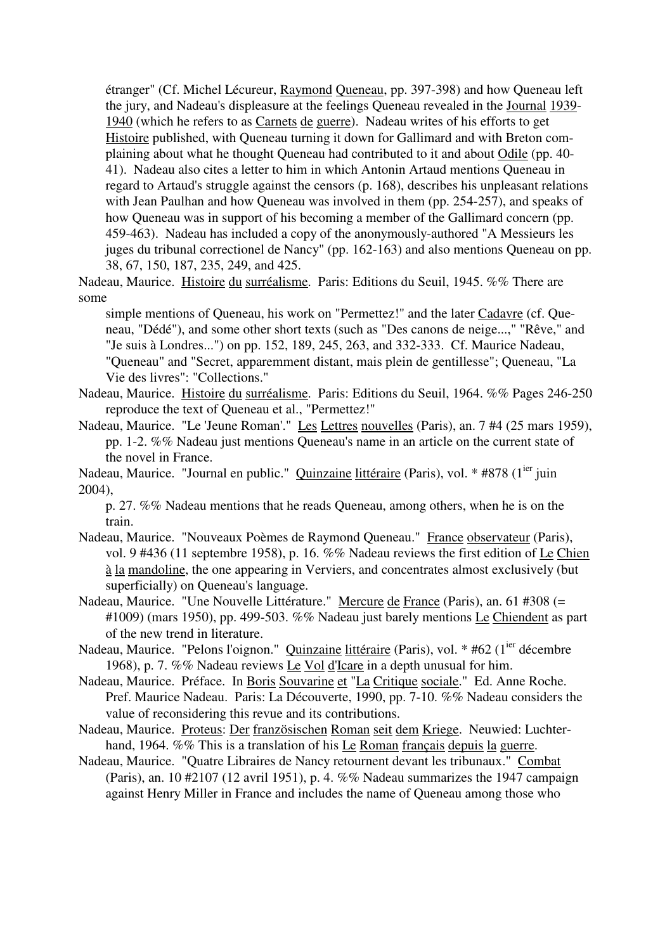étranger" (Cf. Michel Lécureur, Raymond Queneau, pp. 397-398) and how Queneau left the jury, and Nadeau's displeasure at the feelings Queneau revealed in the Journal 1939- 1940 (which he refers to as Carnets de guerre). Nadeau writes of his efforts to get Histoire published, with Queneau turning it down for Gallimard and with Breton complaining about what he thought Queneau had contributed to it and about Odile (pp. 40- 41). Nadeau also cites a letter to him in which Antonin Artaud mentions Queneau in regard to Artaud's struggle against the censors (p. 168), describes his unpleasant relations with Jean Paulhan and how Queneau was involved in them (pp. 254-257), and speaks of how Queneau was in support of his becoming a member of the Gallimard concern (pp. 459-463). Nadeau has included a copy of the anonymously-authored "A Messieurs les juges du tribunal correctionel de Nancy" (pp. 162-163) and also mentions Queneau on pp. 38, 67, 150, 187, 235, 249, and 425.

Nadeau, Maurice. Histoire du surréalisme. Paris: Editions du Seuil, 1945. %% There are some

simple mentions of Queneau, his work on "Permettez!" and the later Cadavre (cf. Queneau, "Dédé"), and some other short texts (such as "Des canons de neige...," "Rêve," and "Je suis à Londres...") on pp. 152, 189, 245, 263, and 332-333. Cf. Maurice Nadeau, "Queneau" and "Secret, apparemment distant, mais plein de gentillesse"; Queneau, "La Vie des livres": "Collections."

Nadeau, Maurice. Histoire du surréalisme. Paris: Editions du Seuil, 1964. %% Pages 246-250 reproduce the text of Queneau et al., "Permettez!"

Nadeau, Maurice. "Le 'Jeune Roman'." Les Lettres nouvelles (Paris), an. 7 #4 (25 mars 1959), pp. 1-2. %% Nadeau just mentions Queneau's name in an article on the current state of the novel in France.

Nadeau, Maurice. "Journal en public." Quinzaine littéraire (Paris), vol. \* #878 (1<sup>ier</sup> juin 2004),

p. 27. %% Nadeau mentions that he reads Queneau, among others, when he is on the train.

- Nadeau, Maurice. "Nouveaux Poèmes de Raymond Queneau." France observateur (Paris), vol. 9 #436 (11 septembre 1958), p. 16. %% Nadeau reviews the first edition of Le Chien à la mandoline, the one appearing in Verviers, and concentrates almost exclusively (but superficially) on Queneau's language.
- Nadeau, Maurice. "Une Nouvelle Littérature." Mercure de France (Paris), an. 61 #308 (= #1009) (mars 1950), pp. 499-503. %% Nadeau just barely mentions Le Chiendent as part of the new trend in literature.
- Nadeau, Maurice. "Pelons l'oignon." Quinzaine littéraire (Paris), vol. \* #62 (1<sup>ier</sup> décembre 1968), p. 7. %% Nadeau reviews Le Vol d'Icare in a depth unusual for him.
- Nadeau, Maurice. Préface. In Boris Souvarine et "La Critique sociale." Ed. Anne Roche. Pref. Maurice Nadeau. Paris: La Découverte, 1990, pp. 7-10. %% Nadeau considers the value of reconsidering this revue and its contributions.
- Nadeau, Maurice. Proteus: Der französischen Roman seit dem Kriege. Neuwied: Luchterhand, 1964. %% This is a translation of his Le Roman français depuis la guerre.
- Nadeau, Maurice. "Quatre Libraires de Nancy retournent devant les tribunaux." Combat (Paris), an. 10 #2107 (12 avril 1951), p. 4. %% Nadeau summarizes the 1947 campaign against Henry Miller in France and includes the name of Queneau among those who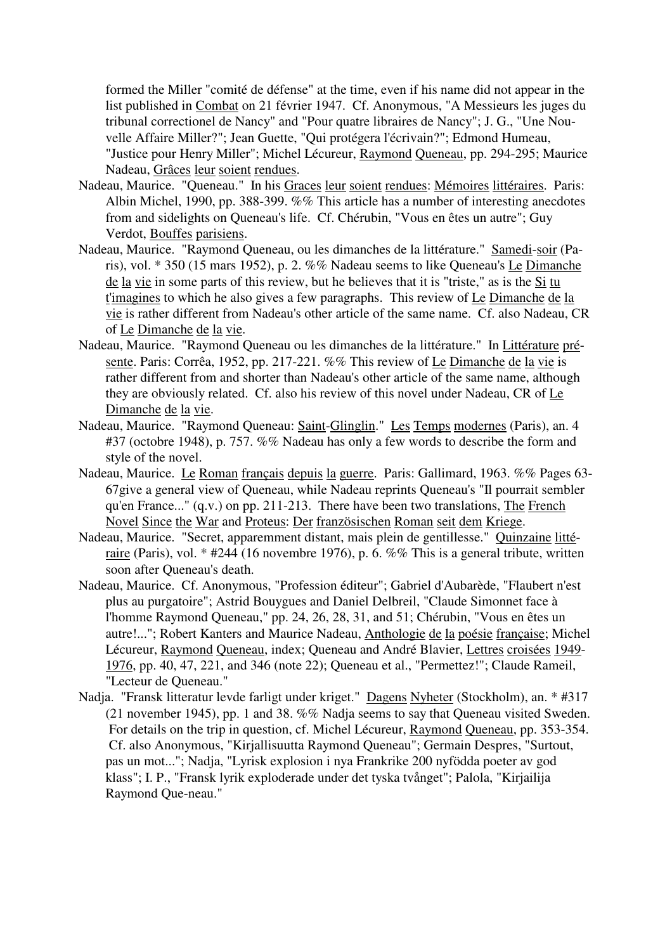formed the Miller "comité de défense" at the time, even if his name did not appear in the list published in Combat on 21 février 1947. Cf. Anonymous, "A Messieurs les juges du tribunal correctionel de Nancy" and "Pour quatre libraires de Nancy"; J. G., "Une Nouvelle Affaire Miller?"; Jean Guette, "Qui protégera l'écrivain?"; Edmond Humeau, "Justice pour Henry Miller"; Michel Lécureur, Raymond Queneau, pp. 294-295; Maurice Nadeau, Grâces leur soient rendues.

- Nadeau, Maurice. "Queneau." In his Graces leur soient rendues: Mémoires littéraires. Paris: Albin Michel, 1990, pp. 388-399. %% This article has a number of interesting anecdotes from and sidelights on Queneau's life. Cf. Chérubin, "Vous en êtes un autre"; Guy Verdot, Bouffes parisiens.
- Nadeau, Maurice. "Raymond Queneau, ou les dimanches de la littérature." Samedi-soir (Paris), vol. \* 350 (15 mars 1952), p. 2. %% Nadeau seems to like Queneau's Le Dimanche de la vie in some parts of this review, but he believes that it is "triste," as is the Si tu t'imagines to which he also gives a few paragraphs. This review of Le Dimanche de la vie is rather different from Nadeau's other article of the same name. Cf. also Nadeau, CR of Le Dimanche de la vie.
- Nadeau, Maurice. "Raymond Queneau ou les dimanches de la littérature." In Littérature présente. Paris: Corrêa, 1952, pp. 217-221. %% This review of Le Dimanche de la vie is rather different from and shorter than Nadeau's other article of the same name, although they are obviously related. Cf. also his review of this novel under Nadeau, CR of Le Dimanche de la vie.
- Nadeau, Maurice. "Raymond Queneau: Saint-Glinglin." Les Temps modernes (Paris), an. 4 #37 (octobre 1948), p. 757. %% Nadeau has only a few words to describe the form and style of the novel.
- Nadeau, Maurice. Le Roman français depuis la guerre. Paris: Gallimard, 1963. %% Pages 63- 67give a general view of Queneau, while Nadeau reprints Queneau's "Il pourrait sembler qu'en France..." (q.v.) on pp. 211-213. There have been two translations, The French Novel Since the War and Proteus: Der französischen Roman seit dem Kriege.
- Nadeau, Maurice. "Secret, apparemment distant, mais plein de gentillesse." Quinzaine littéraire (Paris), vol. \* #244 (16 novembre 1976), p. 6. %% This is a general tribute, written soon after Queneau's death.
- Nadeau, Maurice. Cf. Anonymous, "Profession éditeur"; Gabriel d'Aubarède, "Flaubert n'est plus au purgatoire"; Astrid Bouygues and Daniel Delbreil, "Claude Simonnet face à l'homme Raymond Queneau," pp. 24, 26, 28, 31, and 51; Chérubin, "Vous en êtes un autre!..."; Robert Kanters and Maurice Nadeau, Anthologie de la poésie française; Michel Lécureur, Raymond Queneau, index; Queneau and André Blavier, Lettres croisées 1949- 1976, pp. 40, 47, 221, and 346 (note 22); Queneau et al., "Permettez!"; Claude Rameil, "Lecteur de Queneau."
- Nadja. "Fransk litteratur levde farligt under kriget." Dagens Nyheter (Stockholm), an. \* #317 (21 november 1945), pp. 1 and 38. %% Nadja seems to say that Queneau visited Sweden. For details on the trip in question, cf. Michel Lécureur, Raymond Queneau, pp. 353-354. Cf. also Anonymous, "Kirjallisuutta Raymond Queneau"; Germain Despres, "Surtout, pas un mot..."; Nadja, "Lyrisk explosion i nya Frankrike 200 nyfödda poeter av god klass"; I. P., "Fransk lyrik exploderade under det tyska tvånget"; Palola, "Kirjailija Raymond Que-neau."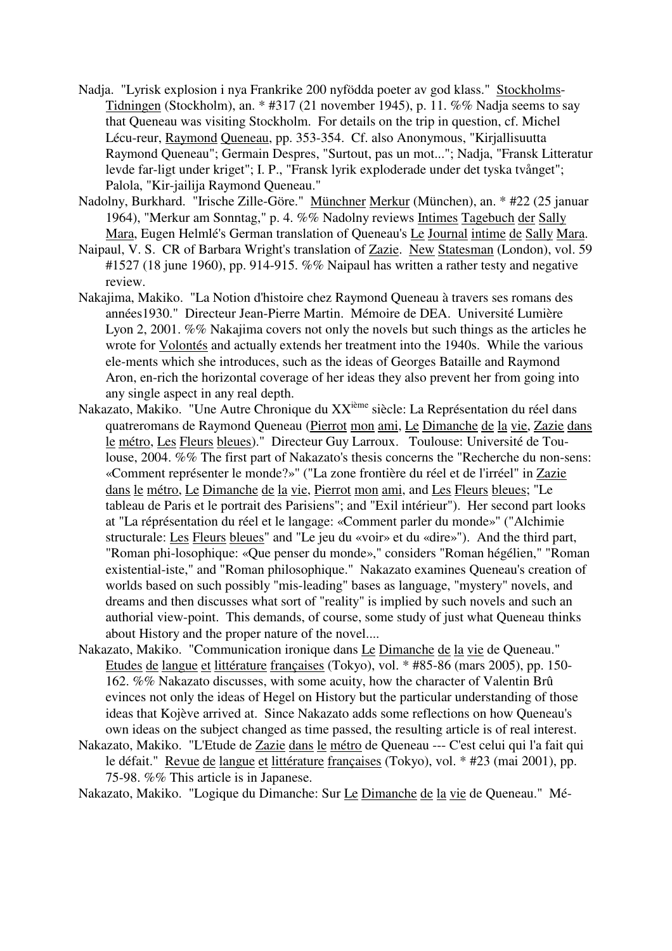- Nadja. "Lyrisk explosion i nya Frankrike 200 nyfödda poeter av god klass." Stockholms-Tidningen (Stockholm), an. \* #317 (21 november 1945), p. 11. %% Nadja seems to say that Queneau was visiting Stockholm. For details on the trip in question, cf. Michel Lécu-reur, Raymond Queneau, pp. 353-354. Cf. also Anonymous, "Kirjallisuutta Raymond Queneau"; Germain Despres, "Surtout, pas un mot..."; Nadja, "Fransk Litteratur levde far-ligt under kriget"; I. P., "Fransk lyrik exploderade under det tyska tvånget"; Palola, "Kir-jailija Raymond Queneau."
- Nadolny, Burkhard. "Irische Zille-Göre." Münchner Merkur (München), an. \* #22 (25 januar 1964), "Merkur am Sonntag," p. 4. %% Nadolny reviews Intimes Tagebuch der Sally Mara, Eugen Helmlé's German translation of Queneau's Le Journal intime de Sally Mara.
- Naipaul, V. S. CR of Barbara Wright's translation of Zazie. New Statesman (London), vol. 59 #1527 (18 june 1960), pp. 914-915. %% Naipaul has written a rather testy and negative review.
- Nakajima, Makiko. "La Notion d'histoire chez Raymond Queneau à travers ses romans des années1930." Directeur Jean-Pierre Martin. Mémoire de DEA. Université Lumière Lyon 2, 2001. %% Nakajima covers not only the novels but such things as the articles he wrote for Volontés and actually extends her treatment into the 1940s. While the various ele-ments which she introduces, such as the ideas of Georges Bataille and Raymond Aron, en-rich the horizontal coverage of her ideas they also prevent her from going into any single aspect in any real depth.
- Nakazato, Makiko. "Une Autre Chronique du XXième siècle: La Représentation du réel dans quatreromans de Raymond Queneau (Pierrot mon ami, Le Dimanche de la vie, Zazie dans le métro, Les Fleurs bleues)." Directeur Guy Larroux. Toulouse: Université de Toulouse, 2004. %% The first part of Nakazato's thesis concerns the "Recherche du non-sens: «Comment représenter le monde?»" ("La zone frontière du réel et de l'irréel" in Zazie dans le métro, Le Dimanche de la vie, Pierrot mon ami, and Les Fleurs bleues; "Le tableau de Paris et le portrait des Parisiens"; and "Exil intérieur"). Her second part looks at "La réprésentation du réel et le langage: «Comment parler du monde»" ("Alchimie structurale: Les Fleurs bleues" and "Le jeu du «voir» et du «dire»"). And the third part, "Roman phi-losophique: «Que penser du monde»," considers "Roman hégélien," "Roman existential-iste," and "Roman philosophique." Nakazato examines Queneau's creation of worlds based on such possibly "mis-leading" bases as language, "mystery" novels, and dreams and then discusses what sort of "reality" is implied by such novels and such an authorial view-point. This demands, of course, some study of just what Queneau thinks about History and the proper nature of the novel....
- Nakazato, Makiko. "Communication ironique dans Le Dimanche de la vie de Queneau." Etudes de langue et littérature françaises (Tokyo), vol. \* #85-86 (mars 2005), pp. 150- 162. %% Nakazato discusses, with some acuity, how the character of Valentin Brû evinces not only the ideas of Hegel on History but the particular understanding of those ideas that Kojève arrived at. Since Nakazato adds some reflections on how Queneau's own ideas on the subject changed as time passed, the resulting article is of real interest.
- Nakazato, Makiko. "L'Etude de Zazie dans le métro de Queneau --- C'est celui qui l'a fait qui le défait." Revue de langue et littérature françaises (Tokyo), vol. \* #23 (mai 2001), pp. 75-98. %% This article is in Japanese.

Nakazato, Makiko. "Logique du Dimanche: Sur Le Dimanche de la vie de Queneau." Mé-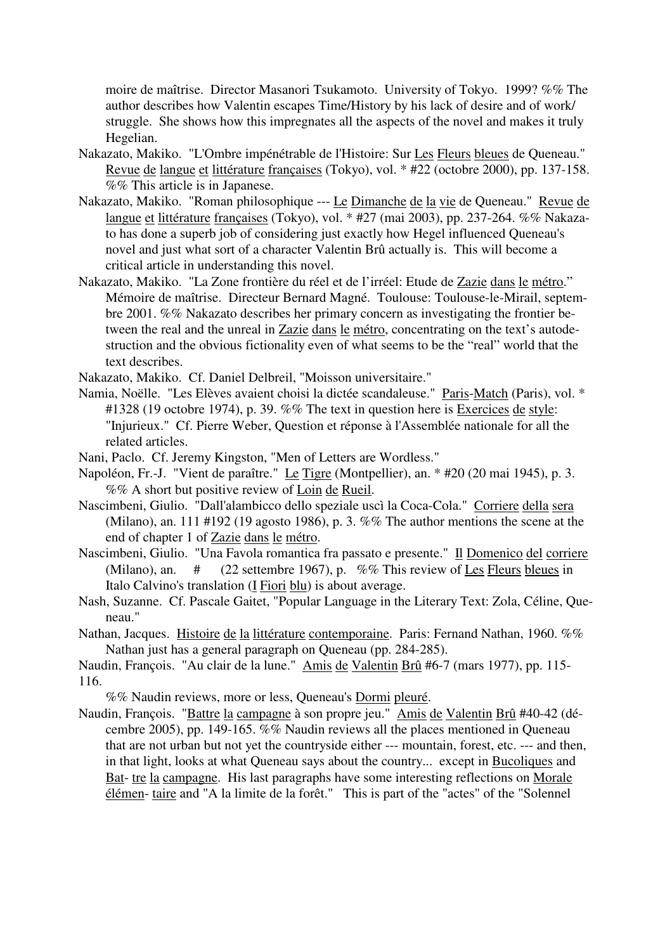moire de maîtrise. Director Masanori Tsukamoto. University of Tokyo. 1999? %% The author describes how Valentin escapes Time/History by his lack of desire and of work/ struggle. She shows how this impregnates all the aspects of the novel and makes it truly Hegelian.

- Nakazato, Makiko. "L'Ombre impénétrable de l'Histoire: Sur Les Fleurs bleues de Queneau." Revue de langue et littérature françaises (Tokyo), vol. \* #22 (octobre 2000), pp. 137-158. %% This article is in Japanese.
- Nakazato, Makiko. "Roman philosophique --- Le Dimanche de la vie de Queneau." Revue de langue et littérature françaises (Tokyo), vol. \* #27 (mai 2003), pp. 237-264. %% Nakazato has done a superb job of considering just exactly how Hegel influenced Queneau's novel and just what sort of a character Valentin Brû actually is. This will become a critical article in understanding this novel.
- Nakazato, Makiko. "La Zone frontière du réel et de l'irréel: Etude de Zazie dans le métro." Mémoire de maîtrise. Directeur Bernard Magné. Toulouse: Toulouse-le-Mirail, septembre 2001. %% Nakazato describes her primary concern as investigating the frontier between the real and the unreal in Zazie dans le métro, concentrating on the text's autodestruction and the obvious fictionality even of what seems to be the "real" world that the text describes.
- Nakazato, Makiko. Cf. Daniel Delbreil, "Moisson universitaire."
- Namia, Noëlle. "Les Elèves avaient choisi la dictée scandaleuse." Paris-Match (Paris), vol. \* #1328 (19 octobre 1974), p. 39. %% The text in question here is Exercices de style: "Injurieux." Cf. Pierre Weber, Question et réponse à l'Assemblée nationale for all the related articles.
- Nani, Paclo. Cf. Jeremy Kingston, "Men of Letters are Wordless."
- Napoléon, Fr.-J. "Vient de paraître." Le Tigre (Montpellier), an. \* #20 (20 mai 1945), p. 3. %% A short but positive review of Loin de Rueil.
- Nascimbeni, Giulio. "Dall'alambicco dello speziale uscì la Coca-Cola." Corriere della sera (Milano), an. 111 #192 (19 agosto 1986), p. 3. %% The author mentions the scene at the end of chapter 1 of Zazie dans le métro.
- Nascimbeni, Giulio. "Una Favola romantica fra passato e presente." Il Domenico del corriere (Milano), an. # (22 settembre 1967), p. %% This review of Les Fleurs bleues in Italo Calvino's translation (I Fiori blu) is about average.
- Nash, Suzanne. Cf. Pascale Gaitet, "Popular Language in the Literary Text: Zola, Céline, Queneau."
- Nathan, Jacques. Histoire de la littérature contemporaine. Paris: Fernand Nathan, 1960. %% Nathan just has a general paragraph on Queneau (pp. 284-285).

Naudin, François. "Au clair de la lune." Amis de Valentin Brû #6-7 (mars 1977), pp. 115- 116.

%% Naudin reviews, more or less, Queneau's Dormi pleuré.

Naudin, François. "Battre la campagne à son propre jeu." Amis de Valentin Brû #40-42 (décembre 2005), pp. 149-165. %% Naudin reviews all the places mentioned in Queneau that are not urban but not yet the countryside either --- mountain, forest, etc. --- and then, in that light, looks at what Queneau says about the country... except in Bucoliques and Bat- tre la campagne. His last paragraphs have some interesting reflections on Morale élémen- taire and "A la limite de la forêt." This is part of the "actes" of the "Solennel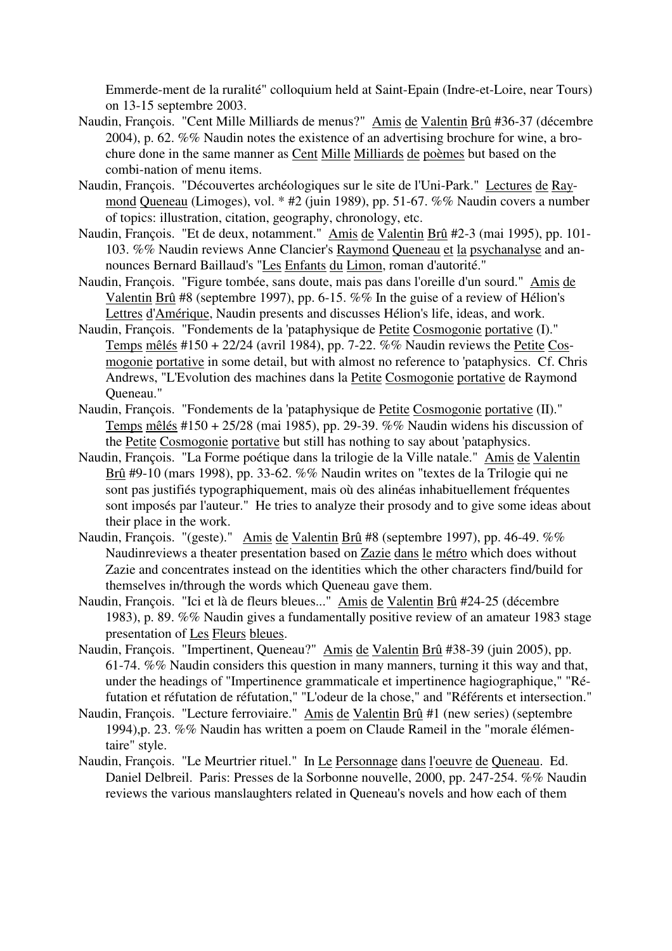Emmerde-ment de la ruralité" colloquium held at Saint-Epain (Indre-et-Loire, near Tours) on 13-15 septembre 2003.

- Naudin, François. "Cent Mille Milliards de menus?" Amis de Valentin Brû #36-37 (décembre 2004), p. 62. %% Naudin notes the existence of an advertising brochure for wine, a brochure done in the same manner as Cent Mille Milliards de poèmes but based on the combi-nation of menu items.
- Naudin, François. "Découvertes archéologiques sur le site de l'Uni-Park." Lectures de Raymond Queneau (Limoges), vol. \* #2 (juin 1989), pp. 51-67. %% Naudin covers a number of topics: illustration, citation, geography, chronology, etc.
- Naudin, François. "Et de deux, notamment." Amis de Valentin Brû #2-3 (mai 1995), pp. 101- 103. %% Naudin reviews Anne Clancier's Raymond Queneau et la psychanalyse and announces Bernard Baillaud's "Les Enfants du Limon, roman d'autorité."
- Naudin, François. "Figure tombée, sans doute, mais pas dans l'oreille d'un sourd." Amis de Valentin Brû #8 (septembre 1997), pp. 6-15. %% In the guise of a review of Hélion's Lettres d'Amérique, Naudin presents and discusses Hélion's life, ideas, and work.
- Naudin, François. "Fondements de la 'pataphysique de Petite Cosmogonie portative (I)." Temps mêlés #150 + 22/24 (avril 1984), pp. 7-22. %% Naudin reviews the Petite Cosmogonie portative in some detail, but with almost no reference to 'pataphysics. Cf. Chris Andrews, "L'Evolution des machines dans la Petite Cosmogonie portative de Raymond Queneau."
- Naudin, François. "Fondements de la 'pataphysique de Petite Cosmogonie portative (II)." Temps mêlés #150 + 25/28 (mai 1985), pp. 29-39. %% Naudin widens his discussion of the Petite Cosmogonie portative but still has nothing to say about 'pataphysics.
- Naudin, François. "La Forme poétique dans la trilogie de la Ville natale." Amis de Valentin Brû #9-10 (mars 1998), pp. 33-62. %% Naudin writes on "textes de la Trilogie qui ne sont pas justifiés typographiquement, mais où des alinéas inhabituellement fréquentes sont imposés par l'auteur." He tries to analyze their prosody and to give some ideas about their place in the work.
- Naudin, François. "(geste)." Amis de Valentin Brû #8 (septembre 1997), pp. 46-49. %% Naudinreviews a theater presentation based on Zazie dans le métro which does without Zazie and concentrates instead on the identities which the other characters find/build for themselves in/through the words which Queneau gave them.
- Naudin, François. "Ici et là de fleurs bleues..." Amis de Valentin Brû #24-25 (décembre 1983), p. 89. %% Naudin gives a fundamentally positive review of an amateur 1983 stage presentation of Les Fleurs bleues.
- Naudin, François. "Impertinent, Queneau?" Amis de Valentin Brû #38-39 (juin 2005), pp. 61-74. %% Naudin considers this question in many manners, turning it this way and that, under the headings of "Impertinence grammaticale et impertinence hagiographique," "Réfutation et réfutation de réfutation," "L'odeur de la chose," and "Référents et intersection."
- Naudin, François. "Lecture ferroviaire." Amis de Valentin Brû #1 (new series) (septembre 1994),p. 23. %% Naudin has written a poem on Claude Rameil in the "morale élémentaire" style.
- Naudin, François. "Le Meurtrier rituel." In Le Personnage dans l'oeuvre de Queneau. Ed. Daniel Delbreil. Paris: Presses de la Sorbonne nouvelle, 2000, pp. 247-254. %% Naudin reviews the various manslaughters related in Queneau's novels and how each of them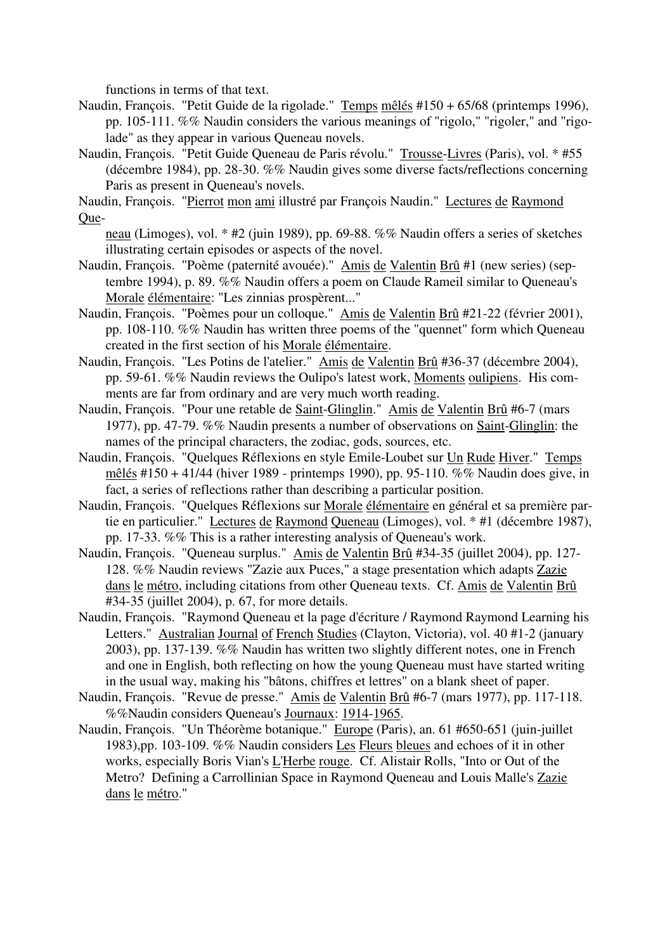functions in terms of that text.

- Naudin, François. "Petit Guide de la rigolade." Temps mêlés #150 + 65/68 (printemps 1996), pp. 105-111. %% Naudin considers the various meanings of "rigolo," "rigoler," and "rigolade" as they appear in various Queneau novels.
- Naudin, François. "Petit Guide Queneau de Paris révolu." Trousse-Livres (Paris), vol. \* #55 (décembre 1984), pp. 28-30. %% Naudin gives some diverse facts/reflections concerning Paris as present in Queneau's novels.

Naudin, François. "Pierrot mon ami illustré par François Naudin." Lectures de Raymond Que-

- neau (Limoges), vol. \* #2 (juin 1989), pp. 69-88. %% Naudin offers a series of sketches illustrating certain episodes or aspects of the novel.
- Naudin, François. "Poème (paternité avouée)." Amis de Valentin Brû #1 (new series) (septembre 1994), p. 89. %% Naudin offers a poem on Claude Rameil similar to Queneau's Morale élémentaire: "Les zinnias prospèrent..."
- Naudin, François. "Poèmes pour un colloque." Amis de Valentin Brû #21-22 (février 2001), pp. 108-110. %% Naudin has written three poems of the "quennet" form which Queneau created in the first section of his Morale élémentaire.
- Naudin, François. "Les Potins de l'atelier." Amis de Valentin Brû #36-37 (décembre 2004), pp. 59-61. %% Naudin reviews the Oulipo's latest work, Moments oulipiens. His comments are far from ordinary and are very much worth reading.
- Naudin, François. "Pour une retable de Saint-Glinglin." Amis de Valentin Brû #6-7 (mars 1977), pp. 47-79. %% Naudin presents a number of observations on Saint-Glinglin: the names of the principal characters, the zodiac, gods, sources, etc.
- Naudin, François. "Quelques Réflexions en style Emile-Loubet sur Un Rude Hiver." Temps mêlés #150 + 41/44 (hiver 1989 - printemps 1990), pp. 95-110. %% Naudin does give, in fact, a series of reflections rather than describing a particular position.
- Naudin, François. "Quelques Réflexions sur Morale élémentaire en général et sa première partie en particulier." Lectures de Raymond Queneau (Limoges), vol. \* #1 (décembre 1987), pp. 17-33. %% This is a rather interesting analysis of Queneau's work.
- Naudin, François. "Queneau surplus." Amis de Valentin Brû #34-35 (juillet 2004), pp. 127- 128. %% Naudin reviews "Zazie aux Puces," a stage presentation which adapts Zazie dans le métro, including citations from other Queneau texts. Cf. Amis de Valentin Brû #34-35 (juillet 2004), p. 67, for more details.
- Naudin, François. "Raymond Queneau et la page d'écriture / Raymond Raymond Learning his Letters." Australian Journal of French Studies (Clayton, Victoria), vol. 40 #1-2 (january 2003), pp. 137-139. %% Naudin has written two slightly different notes, one in French and one in English, both reflecting on how the young Queneau must have started writing in the usual way, making his "bâtons, chiffres et lettres" on a blank sheet of paper.
- Naudin, François. "Revue de presse." Amis de Valentin Brû #6-7 (mars 1977), pp. 117-118. %%Naudin considers Queneau's Journaux: 1914-1965.
- Naudin, François. "Un Théorème botanique." Europe (Paris), an. 61 #650-651 (juin-juillet 1983),pp. 103-109. %% Naudin considers Les Fleurs bleues and echoes of it in other works, especially Boris Vian's L'Herbe rouge. Cf. Alistair Rolls, "Into or Out of the Metro? Defining a Carrollinian Space in Raymond Queneau and Louis Malle's Zazie dans le métro."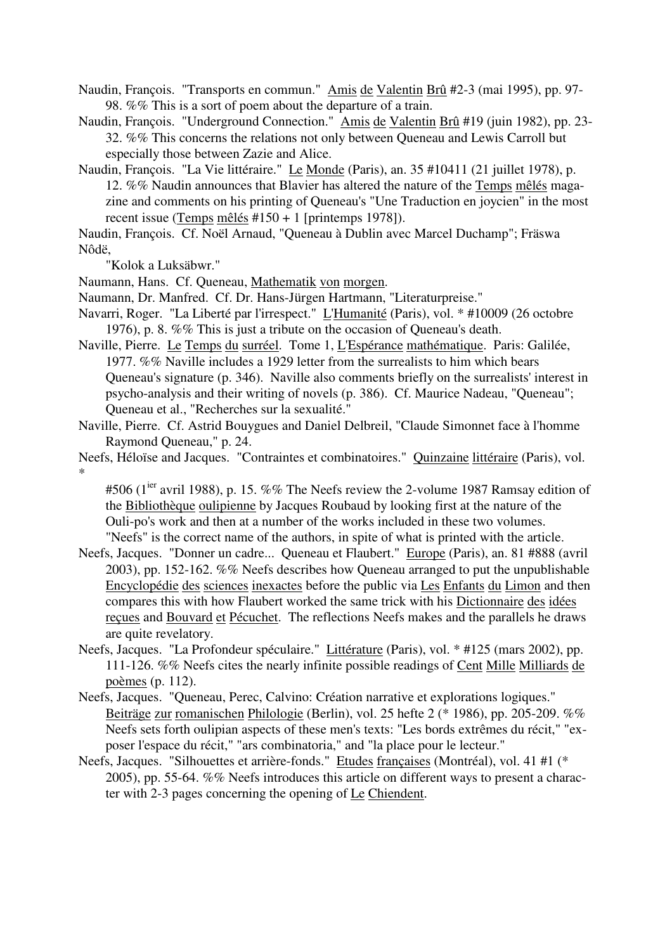- Naudin, François. "Transports en commun." Amis de Valentin Brû #2-3 (mai 1995), pp. 97- 98. %% This is a sort of poem about the departure of a train.
- Naudin, François. "Underground Connection." Amis de Valentin Brû #19 (juin 1982), pp. 23- 32. %% This concerns the relations not only between Queneau and Lewis Carroll but especially those between Zazie and Alice.
- Naudin, François. "La Vie littéraire." Le Monde (Paris), an. 35 #10411 (21 juillet 1978), p. 12. %% Naudin announces that Blavier has altered the nature of the Temps mêlés magazine and comments on his printing of Queneau's "Une Traduction en joycien" in the most recent issue (Temps mêlés #150 + 1 [printemps 1978]).
- Naudin, François. Cf. Noël Arnaud, "Queneau à Dublin avec Marcel Duchamp"; Fräswa Nôdë,

"Kolok a Luksäbwr."

- Naumann, Hans. Cf. Queneau, Mathematik von morgen.
- Naumann, Dr. Manfred. Cf. Dr. Hans-Jürgen Hartmann, "Literaturpreise."
- Navarri, Roger. "La Liberté par l'irrespect." L'Humanité (Paris), vol. \* #10009 (26 octobre 1976), p. 8. %% This is just a tribute on the occasion of Queneau's death.
- Naville, Pierre. Le Temps du surréel. Tome 1, L'Espérance mathématique. Paris: Galilée, 1977. %% Naville includes a 1929 letter from the surrealists to him which bears Queneau's signature (p. 346). Naville also comments briefly on the surrealists' interest in psycho-analysis and their writing of novels (p. 386). Cf. Maurice Nadeau, "Queneau"; Queneau et al., "Recherches sur la sexualité."
- Naville, Pierre. Cf. Astrid Bouygues and Daniel Delbreil, "Claude Simonnet face à l'homme Raymond Queneau," p. 24.
- Neefs, Héloïse and Jacques. "Contraintes et combinatoires." Quinzaine littéraire (Paris), vol. \*

#506 ( $1^{ier}$  avril 1988), p. 15. %% The Neefs review the 2-volume 1987 Ramsay edition of the Bibliothèque oulipienne by Jacques Roubaud by looking first at the nature of the Ouli-po's work and then at a number of the works included in these two volumes. "Neefs" is the correct name of the authors, in spite of what is printed with the article.

- Neefs, Jacques. "Donner un cadre... Queneau et Flaubert." Europe (Paris), an. 81 #888 (avril 2003), pp. 152-162. %% Neefs describes how Queneau arranged to put the unpublishable Encyclopédie des sciences inexactes before the public via Les Enfants du Limon and then compares this with how Flaubert worked the same trick with his Dictionnaire des idées reçues and Bouvard et Pécuchet. The reflections Neefs makes and the parallels he draws are quite revelatory.
- Neefs, Jacques. "La Profondeur spéculaire." Littérature (Paris), vol. \* #125 (mars 2002), pp. 111-126. %% Neefs cites the nearly infinite possible readings of Cent Mille Milliards de poèmes (p. 112).
- Neefs, Jacques. "Queneau, Perec, Calvino: Création narrative et explorations logiques." Beiträge zur romanischen Philologie (Berlin), vol. 25 hefte 2 (\* 1986), pp. 205-209. %% Neefs sets forth oulipian aspects of these men's texts: "Les bords extrêmes du récit," "exposer l'espace du récit," "ars combinatoria," and "la place pour le lecteur."
- Neefs, Jacques. "Silhouettes et arrière-fonds." Etudes françaises (Montréal), vol. 41 #1 (\* 2005), pp. 55-64. %% Neefs introduces this article on different ways to present a character with 2-3 pages concerning the opening of Le Chiendent.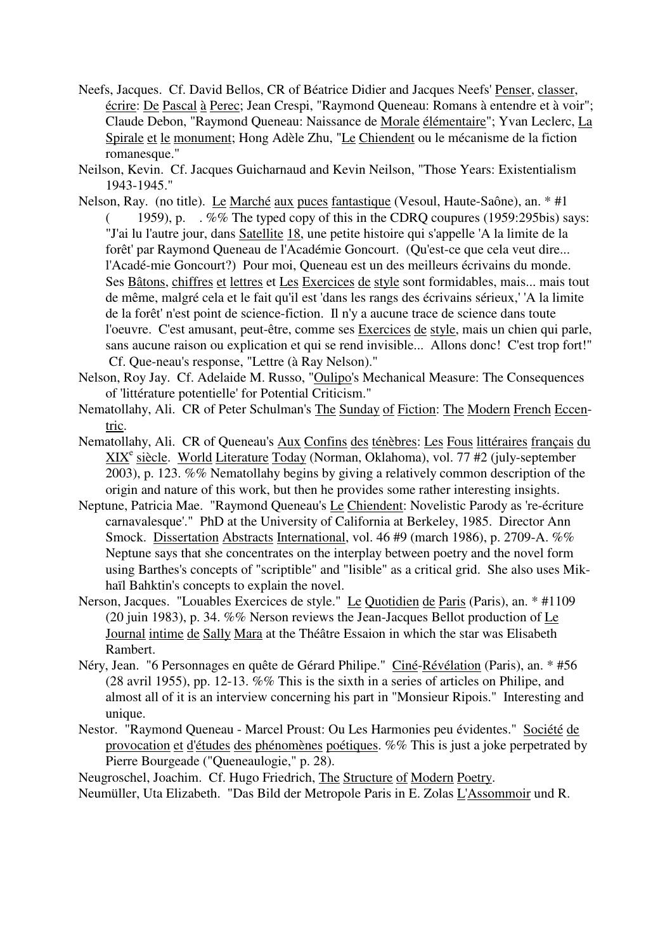Neefs, Jacques. Cf. David Bellos, CR of Béatrice Didier and Jacques Neefs' Penser, classer, écrire: De Pascal à Perec; Jean Crespi, "Raymond Queneau: Romans à entendre et à voir"; Claude Debon, "Raymond Queneau: Naissance de Morale élémentaire"; Yvan Leclerc, La Spirale et le monument; Hong Adèle Zhu, "Le Chiendent ou le mécanisme de la fiction romanesque."

Neilson, Kevin. Cf. Jacques Guicharnaud and Kevin Neilson, "Those Years: Existentialism 1943-1945."

- Nelson, Ray. (no title). Le Marché aux puces fantastique (Vesoul, Haute-Saône), an. \* #1 (1959), p.  $\cdot$  %% The typed copy of this in the CDRQ coupures (1959:295bis) says: "J'ai lu l'autre jour, dans Satellite 18, une petite histoire qui s'appelle 'A la limite de la forêt' par Raymond Queneau de l'Académie Goncourt. (Qu'est-ce que cela veut dire... l'Acadé-mie Goncourt?) Pour moi, Queneau est un des meilleurs écrivains du monde. Ses Bâtons, chiffres et lettres et Les Exercices de style sont formidables, mais... mais tout de même, malgré cela et le fait qu'il est 'dans les rangs des écrivains sérieux,' 'A la limite de la forêt' n'est point de science-fiction. Il n'y a aucune trace de science dans toute l'oeuvre. C'est amusant, peut-être, comme ses Exercices de style, mais un chien qui parle, sans aucune raison ou explication et qui se rend invisible... Allons donc! C'est trop fort!" Cf. Que-neau's response, "Lettre (à Ray Nelson)."
- Nelson, Roy Jay. Cf. Adelaide M. Russo, "Oulipo's Mechanical Measure: The Consequences of 'littérature potentielle' for Potential Criticism."
- Nematollahy, Ali. CR of Peter Schulman's The Sunday of Fiction: The Modern French Eccentric.
- Nematollahy, Ali. CR of Queneau's Aux Confins des ténèbres: Les Fous littéraires français du XIX<sup>e</sup> siècle. World Literature Today (Norman, Oklahoma), vol. 77 #2 (july-september 2003), p. 123. %% Nematollahy begins by giving a relatively common description of the origin and nature of this work, but then he provides some rather interesting insights.
- Neptune, Patricia Mae. "Raymond Queneau's Le Chiendent: Novelistic Parody as 're-écriture carnavalesque'." PhD at the University of California at Berkeley, 1985. Director Ann Smock. Dissertation Abstracts International, vol. 46 #9 (march 1986), p. 2709-A. %% Neptune says that she concentrates on the interplay between poetry and the novel form using Barthes's concepts of "scriptible" and "lisible" as a critical grid. She also uses Mikhaïl Bahktin's concepts to explain the novel.
- Nerson, Jacques. "Louables Exercices de style." Le Quotidien de Paris (Paris), an. \* #1109 (20 juin 1983), p. 34. %% Nerson reviews the Jean-Jacques Bellot production of Le Journal intime de Sally Mara at the Théâtre Essaion in which the star was Elisabeth Rambert.
- Néry, Jean. "6 Personnages en quête de Gérard Philipe." Ciné-Révélation (Paris), an. \* #56 (28 avril 1955), pp. 12-13. %% This is the sixth in a series of articles on Philipe, and almost all of it is an interview concerning his part in "Monsieur Ripois." Interesting and unique.
- Nestor. "Raymond Queneau Marcel Proust: Ou Les Harmonies peu évidentes." Société de provocation et d'études des phénomènes poétiques. %% This is just a joke perpetrated by Pierre Bourgeade ("Queneaulogie," p. 28).

Neugroschel, Joachim. Cf. Hugo Friedrich, The Structure of Modern Poetry.

Neumüller, Uta Elizabeth. "Das Bild der Metropole Paris in E. Zolas L'Assommoir und R.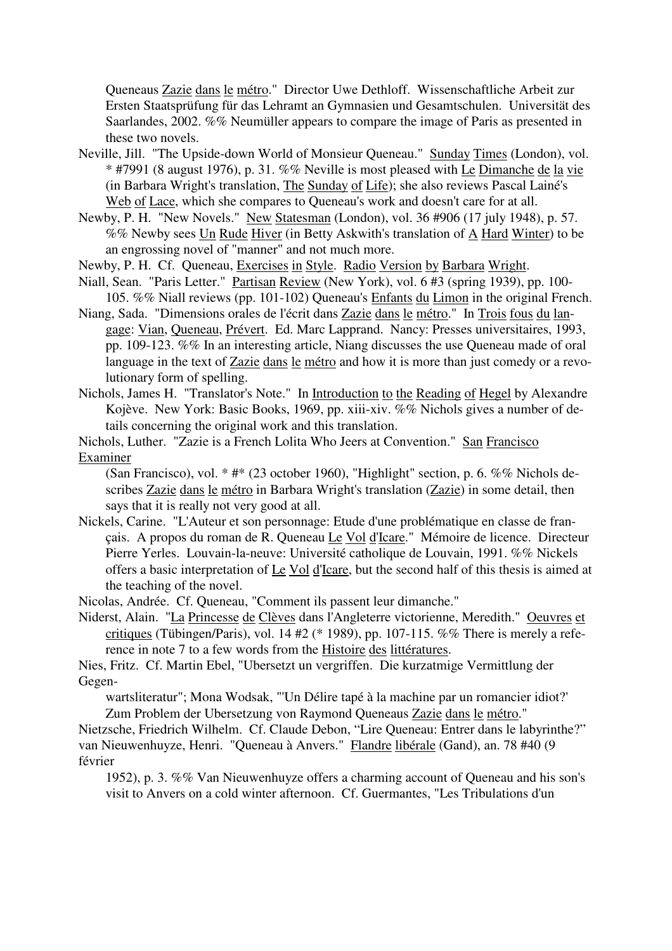Queneaus Zazie dans le métro." Director Uwe Dethloff. Wissenschaftliche Arbeit zur Ersten Staatsprüfung für das Lehramt an Gymnasien und Gesamtschulen. Universität des Saarlandes, 2002. %% Neumüller appears to compare the image of Paris as presented in these two novels.

- Neville, Jill. "The Upside-down World of Monsieur Queneau." Sunday Times (London), vol. \* #7991 (8 august 1976), p. 31. %% Neville is most pleased with Le Dimanche de la vie (in Barbara Wright's translation, The Sunday of Life); she also reviews Pascal Lainé's Web of Lace, which she compares to Queneau's work and doesn't care for at all.
- Newby, P. H. "New Novels." New Statesman (London), vol. 36 #906 (17 july 1948), p. 57. %% Newby sees Un Rude Hiver (in Betty Askwith's translation of A Hard Winter) to be an engrossing novel of "manner" and not much more.
- Newby, P. H. Cf. Queneau, Exercises in Style. Radio Version by Barbara Wright.
- Niall, Sean. "Paris Letter." Partisan Review (New York), vol. 6 #3 (spring 1939), pp. 100- 105. %% Niall reviews (pp. 101-102) Queneau's Enfants du Limon in the original French.
- Niang, Sada. "Dimensions orales de l'écrit dans Zazie dans le métro." In Trois fous du langage: Vian, Queneau, Prévert. Ed. Marc Lapprand. Nancy: Presses universitaires, 1993, pp. 109-123. %% In an interesting article, Niang discusses the use Queneau made of oral language in the text of Zazie dans le métro and how it is more than just comedy or a revolutionary form of spelling.
- Nichols, James H. "Translator's Note." In Introduction to the Reading of Hegel by Alexandre Kojève. New York: Basic Books, 1969, pp. xiii-xiv. %% Nichols gives a number of details concerning the original work and this translation.

Nichols, Luther. "Zazie is a French Lolita Who Jeers at Convention." San Francisco Examiner

(San Francisco), vol. \* #\* (23 october 1960), "Highlight" section, p. 6. %% Nichols describes Zazie dans le métro in Barbara Wright's translation (Zazie) in some detail, then says that it is really not very good at all.

Nickels, Carine. "L'Auteur et son personnage: Etude d'une problématique en classe de français. A propos du roman de R. Queneau Le Vol d'Icare." Mémoire de licence. Directeur Pierre Yerles. Louvain-la-neuve: Université catholique de Louvain, 1991. %% Nickels offers a basic interpretation of Le Vol d'Icare, but the second half of this thesis is aimed at the teaching of the novel.

Nicolas, Andrée. Cf. Queneau, "Comment ils passent leur dimanche."

Niderst, Alain. "La Princesse de Clèves dans l'Angleterre victorienne, Meredith." Oeuvres et critiques (Tübingen/Paris), vol. 14 #2 (\* 1989), pp. 107-115. %% There is merely a reference in note 7 to a few words from the Histoire des littératures.

Nies, Fritz. Cf. Martin Ebel, "Ubersetzt un vergriffen. Die kurzatmige Vermittlung der Gegen-

wartsliteratur"; Mona Wodsak, "'Un Délire tapé à la machine par un romancier idiot?' Zum Problem der Ubersetzung von Raymond Queneaus Zazie dans le métro."

Nietzsche, Friedrich Wilhelm. Cf. Claude Debon, "Lire Queneau: Entrer dans le labyrinthe?" van Nieuwenhuyze, Henri. "Queneau à Anvers." Flandre libérale (Gand), an. 78 #40 (9 février

1952), p. 3. %% Van Nieuwenhuyze offers a charming account of Queneau and his son's visit to Anvers on a cold winter afternoon. Cf. Guermantes, "Les Tribulations d'un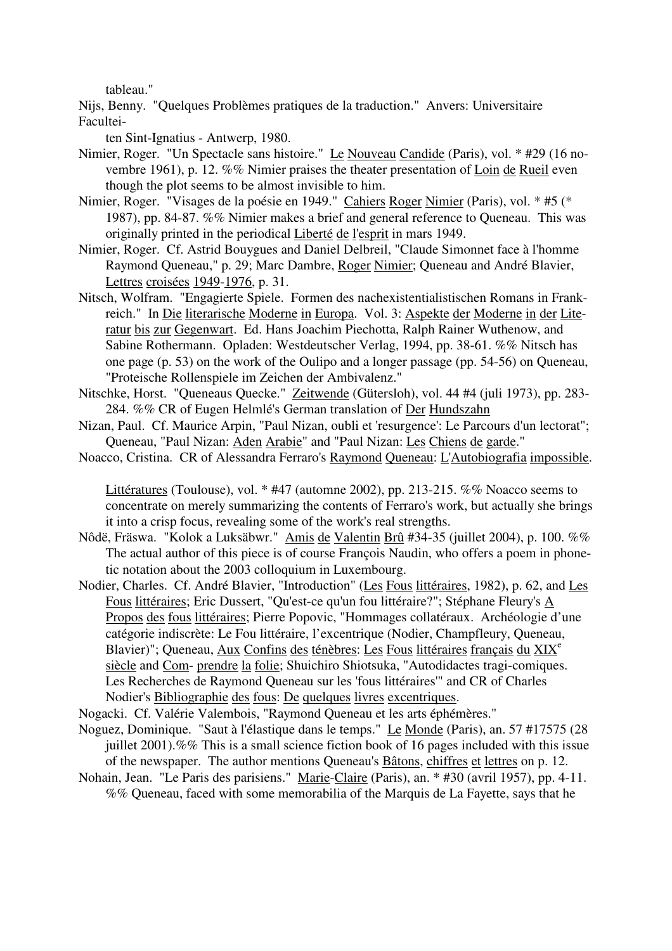tableau."

Nijs, Benny. "Quelques Problèmes pratiques de la traduction." Anvers: Universitaire Facultei-

ten Sint-Ignatius - Antwerp, 1980.

- Nimier, Roger. "Un Spectacle sans histoire." Le Nouveau Candide (Paris), vol. \* #29 (16 novembre 1961), p. 12. %% Nimier praises the theater presentation of Loin de Rueil even though the plot seems to be almost invisible to him.
- Nimier, Roger. "Visages de la poésie en 1949." Cahiers Roger Nimier (Paris), vol. \* #5 (\* 1987), pp. 84-87. %% Nimier makes a brief and general reference to Queneau. This was originally printed in the periodical Liberté de l'esprit in mars 1949.
- Nimier, Roger. Cf. Astrid Bouygues and Daniel Delbreil, "Claude Simonnet face à l'homme Raymond Queneau," p. 29; Marc Dambre, Roger Nimier; Queneau and André Blavier, Lettres croisées 1949-1976, p. 31.
- Nitsch, Wolfram. "Engagierte Spiele. Formen des nachexistentialistischen Romans in Frankreich." In Die literarische Moderne in Europa. Vol. 3: Aspekte der Moderne in der Literatur bis zur Gegenwart. Ed. Hans Joachim Piechotta, Ralph Rainer Wuthenow, and Sabine Rothermann. Opladen: Westdeutscher Verlag, 1994, pp. 38-61. %% Nitsch has one page (p. 53) on the work of the Oulipo and a longer passage (pp. 54-56) on Queneau, "Proteische Rollenspiele im Zeichen der Ambivalenz."
- Nitschke, Horst. "Queneaus Quecke." Zeitwende (Gütersloh), vol. 44 #4 (juli 1973), pp. 283- 284. %% CR of Eugen Helmlé's German translation of Der Hundszahn
- Nizan, Paul. Cf. Maurice Arpin, "Paul Nizan, oubli et 'resurgence': Le Parcours d'un lectorat"; Queneau, "Paul Nizan: Aden Arabie" and "Paul Nizan: Les Chiens de garde."
- Noacco, Cristina. CR of Alessandra Ferraro's Raymond Queneau: L'Autobiografia impossible.

Littératures (Toulouse), vol. \* #47 (automne 2002), pp. 213-215. %% Noacco seems to concentrate on merely summarizing the contents of Ferraro's work, but actually she brings it into a crisp focus, revealing some of the work's real strengths.

- Nôdë, Fräswa. "Kolok a Luksäbwr." Amis de Valentin Brû #34-35 (juillet 2004), p. 100. %% The actual author of this piece is of course François Naudin, who offers a poem in phonetic notation about the 2003 colloquium in Luxembourg.
- Nodier, Charles. Cf. André Blavier, "Introduction" (Les Fous littéraires, 1982), p. 62, and Les Fous littéraires; Eric Dussert, "Qu'est-ce qu'un fou littéraire?"; Stéphane Fleury's A Propos des fous littéraires; Pierre Popovic, "Hommages collatéraux. Archéologie d'une catégorie indiscrète: Le Fou littéraire, l'excentrique (Nodier, Champfleury, Queneau, Blavier)"; Queneau, Aux Confins des ténèbres: Les Fous littéraires français du XIX<sup>e</sup> siècle and Com- prendre la folie; Shuichiro Shiotsuka, "Autodidactes tragi-comiques. Les Recherches de Raymond Queneau sur les 'fous littéraires'" and CR of Charles Nodier's Bibliographie des fous: De quelques livres excentriques.
- Nogacki. Cf. Valérie Valembois, "Raymond Queneau et les arts éphémères."
- Noguez, Dominique. "Saut à l'élastique dans le temps." Le Monde (Paris), an. 57 #17575 (28 juillet 2001).%% This is a small science fiction book of 16 pages included with this issue of the newspaper. The author mentions Queneau's Bâtons, chiffres et lettres on p. 12.
- Nohain, Jean. "Le Paris des parisiens." Marie-Claire (Paris), an. \* #30 (avril 1957), pp. 4-11. %% Queneau, faced with some memorabilia of the Marquis de La Fayette, says that he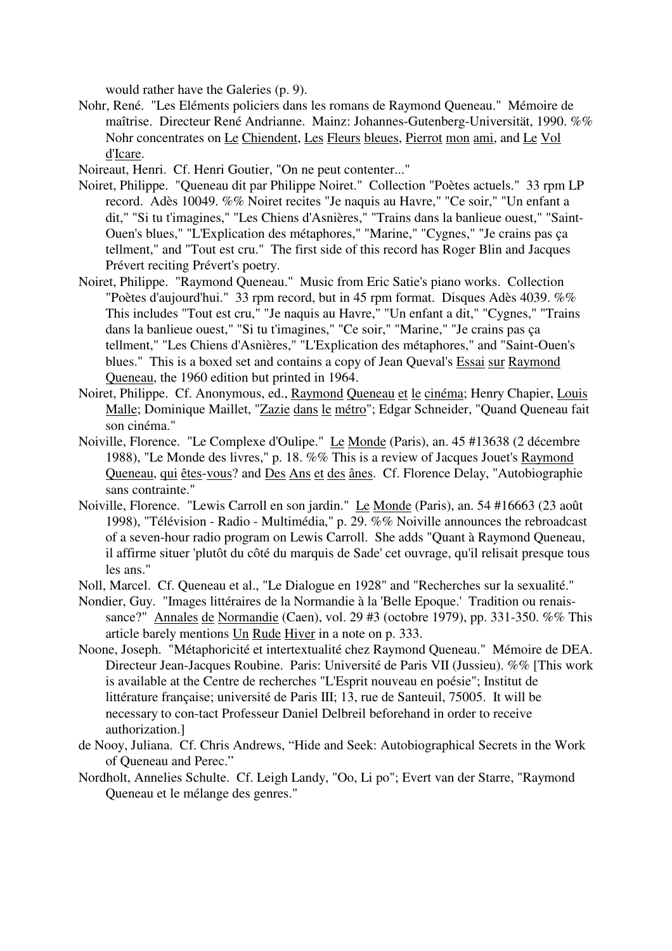would rather have the Galeries (p. 9).

Nohr, René. "Les Eléments policiers dans les romans de Raymond Queneau." Mémoire de maîtrise. Directeur René Andrianne. Mainz: Johannes-Gutenberg-Universität, 1990. %% Nohr concentrates on Le Chiendent, Les Fleurs bleues, Pierrot mon ami, and Le Vol d'Icare.

Noireaut, Henri. Cf. Henri Goutier, "On ne peut contenter..."

- Noiret, Philippe. "Queneau dit par Philippe Noiret." Collection "Poètes actuels." 33 rpm LP record. Adès 10049. %% Noiret recites "Je naquis au Havre," "Ce soir," "Un enfant a dit," "Si tu t'imagines," "Les Chiens d'Asnières," "Trains dans la banlieue ouest," "Saint-Ouen's blues," "L'Explication des métaphores," "Marine," "Cygnes," "Je crains pas ça tellment," and "Tout est cru." The first side of this record has Roger Blin and Jacques Prévert reciting Prévert's poetry.
- Noiret, Philippe. "Raymond Queneau." Music from Eric Satie's piano works. Collection "Poètes d'aujourd'hui." 33 rpm record, but in 45 rpm format. Disques Adès 4039. %% This includes "Tout est cru," "Je naquis au Havre," "Un enfant a dit," "Cygnes," "Trains dans la banlieue ouest," "Si tu t'imagines," "Ce soir," "Marine," "Je crains pas ça tellment," "Les Chiens d'Asnières," "L'Explication des métaphores," and "Saint-Ouen's blues." This is a boxed set and contains a copy of Jean Queval's Essai sur Raymond Queneau, the 1960 edition but printed in 1964.
- Noiret, Philippe. Cf. Anonymous, ed., Raymond Queneau et le cinéma; Henry Chapier, Louis Malle; Dominique Maillet, "Zazie dans le métro"; Edgar Schneider, "Quand Queneau fait son cinéma."
- Noiville, Florence. "Le Complexe d'Oulipe." Le Monde (Paris), an. 45 #13638 (2 décembre 1988), "Le Monde des livres," p. 18. %% This is a review of Jacques Jouet's Raymond Queneau, qui êtes-vous? and Des Ans et des ânes. Cf. Florence Delay, "Autobiographie sans contrainte."
- Noiville, Florence. "Lewis Carroll en son jardin." Le Monde (Paris), an. 54 #16663 (23 août 1998), "Télévision - Radio - Multimédia," p. 29. %% Noiville announces the rebroadcast of a seven-hour radio program on Lewis Carroll. She adds "Quant à Raymond Queneau, il affirme situer 'plutôt du côté du marquis de Sade' cet ouvrage, qu'il relisait presque tous les ans."

Noll, Marcel. Cf. Queneau et al., "Le Dialogue en 1928" and "Recherches sur la sexualité."

- Nondier, Guy. "Images littéraires de la Normandie à la 'Belle Epoque.' Tradition ou renaissance?" Annales de Normandie (Caen), vol. 29 #3 (octobre 1979), pp. 331-350. %% This article barely mentions Un Rude Hiver in a note on p. 333.
- Noone, Joseph. "Métaphoricité et intertextualité chez Raymond Queneau." Mémoire de DEA. Directeur Jean-Jacques Roubine. Paris: Université de Paris VII (Jussieu). %% [This work is available at the Centre de recherches "L'Esprit nouveau en poésie"; Institut de littérature française; université de Paris III; 13, rue de Santeuil, 75005. It will be necessary to con-tact Professeur Daniel Delbreil beforehand in order to receive authorization.]
- de Nooy, Juliana. Cf. Chris Andrews, "Hide and Seek: Autobiographical Secrets in the Work of Queneau and Perec."
- Nordholt, Annelies Schulte. Cf. Leigh Landy, "Oo, Li po"; Evert van der Starre, "Raymond Queneau et le mélange des genres."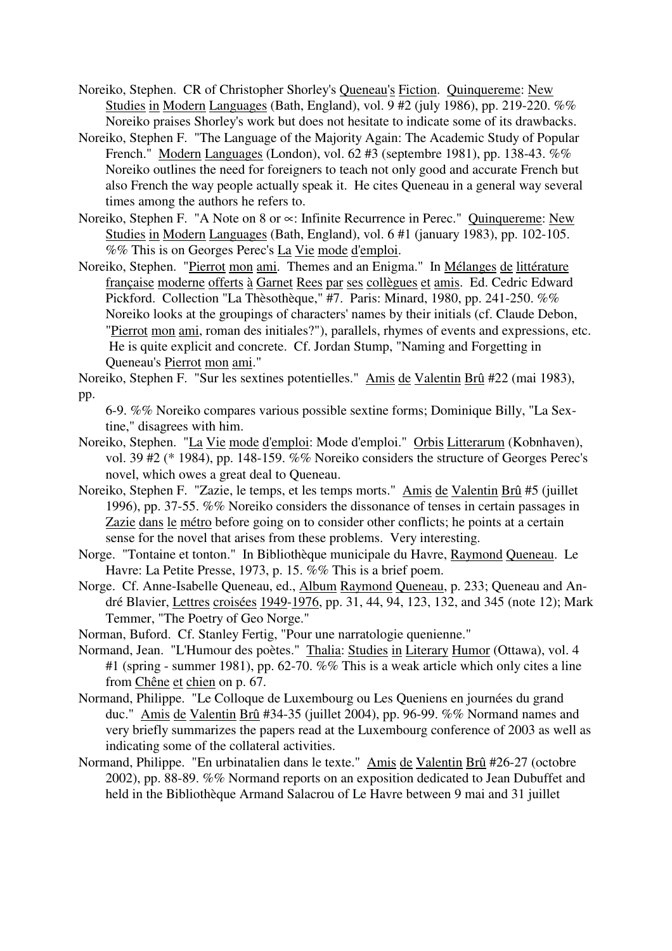- Noreiko, Stephen. CR of Christopher Shorley's Queneau's Fiction. Quinquereme: New Studies in Modern Languages (Bath, England), vol. 9 #2 (july 1986), pp. 219-220. %% Noreiko praises Shorley's work but does not hesitate to indicate some of its drawbacks.
- Noreiko, Stephen F. "The Language of the Majority Again: The Academic Study of Popular French." Modern Languages (London), vol. 62 #3 (septembre 1981), pp. 138-43. %% Noreiko outlines the need for foreigners to teach not only good and accurate French but also French the way people actually speak it. He cites Queneau in a general way several times among the authors he refers to.
- Noreiko, Stephen F. "A Note on 8 or ∝: Infinite Recurrence in Perec." Quinquereme: New Studies in Modern Languages (Bath, England), vol. 6 #1 (january 1983), pp. 102-105. %% This is on Georges Perec's La Vie mode d'emploi.
- Noreiko, Stephen. "Pierrot mon ami. Themes and an Enigma." In Mélanges de littérature française moderne offerts à Garnet Rees par ses collègues et amis. Ed. Cedric Edward Pickford. Collection "La Thèsothèque," #7. Paris: Minard, 1980, pp. 241-250. %% Noreiko looks at the groupings of characters' names by their initials (cf. Claude Debon, "Pierrot mon ami, roman des initiales?"), parallels, rhymes of events and expressions, etc. He is quite explicit and concrete. Cf. Jordan Stump, "Naming and Forgetting in Queneau's Pierrot mon ami."

Noreiko, Stephen F. "Sur les sextines potentielles." Amis de Valentin Brû #22 (mai 1983), pp.

- Noreiko, Stephen. "La Vie mode d'emploi: Mode d'emploi." Orbis Litterarum (Kobnhaven), vol. 39 #2 (\* 1984), pp. 148-159. %% Noreiko considers the structure of Georges Perec's novel, which owes a great deal to Queneau.
- Noreiko, Stephen F. "Zazie, le temps, et les temps morts." Amis de Valentin Brû #5 (juillet 1996), pp. 37-55. %% Noreiko considers the dissonance of tenses in certain passages in Zazie dans le métro before going on to consider other conflicts; he points at a certain sense for the novel that arises from these problems. Very interesting.
- Norge. "Tontaine et tonton." In Bibliothèque municipale du Havre, Raymond Queneau. Le Havre: La Petite Presse, 1973, p. 15. %% This is a brief poem.
- Norge. Cf. Anne-Isabelle Queneau, ed., Album Raymond Queneau, p. 233; Queneau and André Blavier, Lettres croisées 1949-1976, pp. 31, 44, 94, 123, 132, and 345 (note 12); Mark Temmer, "The Poetry of Geo Norge."
- Norman, Buford. Cf. Stanley Fertig, "Pour une narratologie quenienne."
- Normand, Jean. "L'Humour des poètes." Thalia: Studies in Literary Humor (Ottawa), vol. 4 #1 (spring - summer 1981), pp. 62-70. %% This is a weak article which only cites a line from Chêne et chien on p. 67.
- Normand, Philippe. "Le Colloque de Luxembourg ou Les Queniens en journées du grand duc." Amis de Valentin Brû #34-35 (juillet 2004), pp. 96-99. %% Normand names and very briefly summarizes the papers read at the Luxembourg conference of 2003 as well as indicating some of the collateral activities.
- Normand, Philippe. "En urbinatalien dans le texte." Amis de Valentin Brû #26-27 (octobre 2002), pp. 88-89. %% Normand reports on an exposition dedicated to Jean Dubuffet and held in the Bibliothèque Armand Salacrou of Le Havre between 9 mai and 31 juillet

<sup>6-9. %%</sup> Noreiko compares various possible sextine forms; Dominique Billy, "La Sextine," disagrees with him.